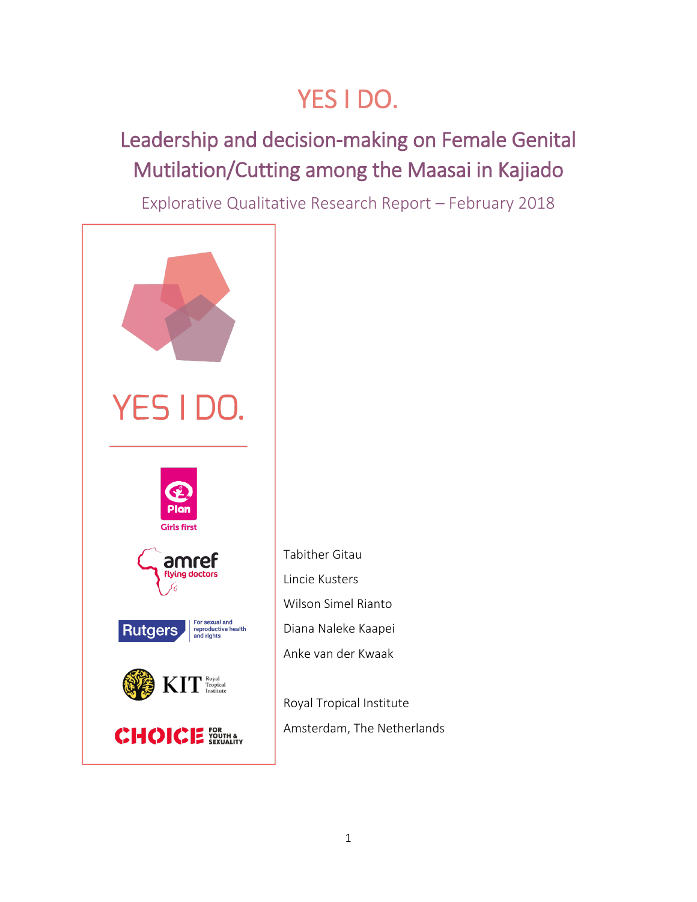# YES I DO.

## Leadership and decision-making on Female Genital Mutilation/Cutting among the Maasai in Kajiado

Explorative Qualitative Research Report – February 2018



Tabither Gitau Lincie Kusters Wilson Simel Rianto Diana Naleke Kaapei Anke van der Kwaak

Royal Tropical Institute Amsterdam, The Netherlands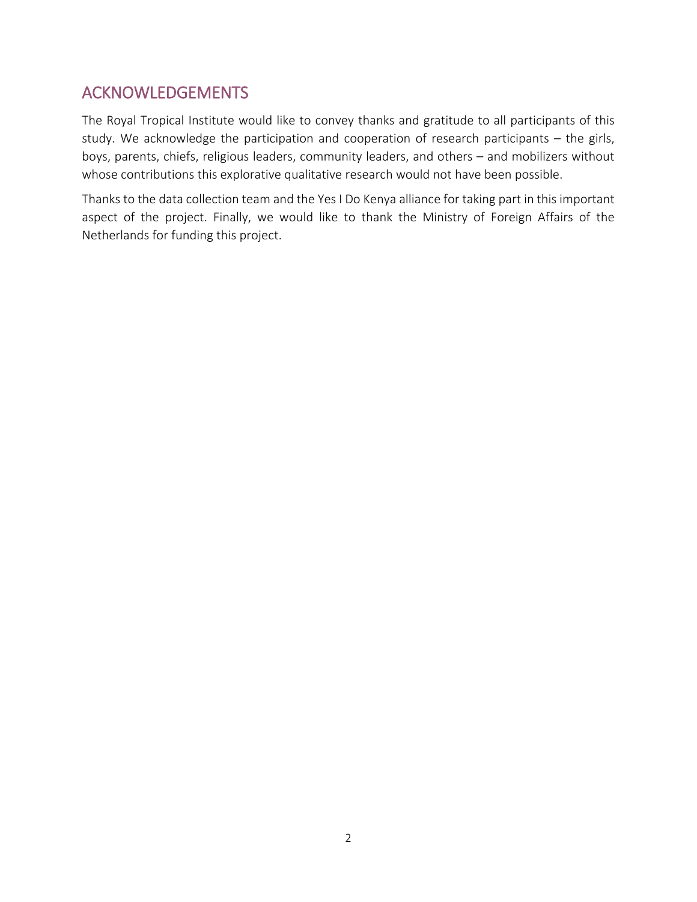## <span id="page-1-0"></span>ACKNOWLEDGEMENTS

The Royal Tropical Institute would like to convey thanks and gratitude to all participants of this study. We acknowledge the participation and cooperation of research participants – the girls, boys, parents, chiefs, religious leaders, community leaders, and others – and mobilizers without whose contributions this explorative qualitative research would not have been possible.

Thanks to the data collection team and the Yes I Do Kenya alliance for taking part in this important aspect of the project. Finally, we would like to thank the Ministry of Foreign Affairs of the Netherlands for funding this project.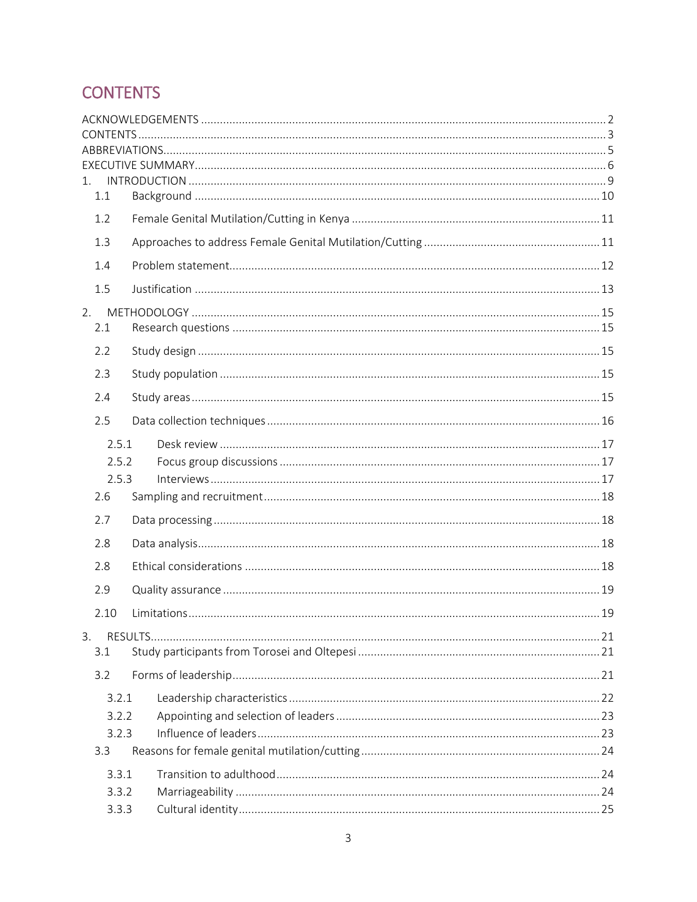## <span id="page-2-0"></span>**CONTENTS**

| 1.    |       |  |  |  |  |  |  |
|-------|-------|--|--|--|--|--|--|
|       | 1.1   |  |  |  |  |  |  |
|       | 1.2   |  |  |  |  |  |  |
|       | 1.3   |  |  |  |  |  |  |
|       | 1.4   |  |  |  |  |  |  |
|       | 1.5   |  |  |  |  |  |  |
| 2.    |       |  |  |  |  |  |  |
|       | 2.1   |  |  |  |  |  |  |
|       | 2.2   |  |  |  |  |  |  |
|       | 2.3   |  |  |  |  |  |  |
|       | 2.4   |  |  |  |  |  |  |
|       | 2.5   |  |  |  |  |  |  |
|       | 2.5.1 |  |  |  |  |  |  |
|       | 2.5.2 |  |  |  |  |  |  |
|       | 2.5.3 |  |  |  |  |  |  |
|       | 2.6   |  |  |  |  |  |  |
|       | 2.7   |  |  |  |  |  |  |
|       | 2.8   |  |  |  |  |  |  |
|       | 2.8   |  |  |  |  |  |  |
|       | 2.9   |  |  |  |  |  |  |
|       | 2.10  |  |  |  |  |  |  |
| 3.    |       |  |  |  |  |  |  |
|       | 3.1   |  |  |  |  |  |  |
|       | 3.2   |  |  |  |  |  |  |
|       | 3.2.1 |  |  |  |  |  |  |
|       | 3.2.2 |  |  |  |  |  |  |
|       | 3.2.3 |  |  |  |  |  |  |
|       | 3.3   |  |  |  |  |  |  |
|       | 3.3.1 |  |  |  |  |  |  |
| 3.3.2 |       |  |  |  |  |  |  |
|       | 3.3.3 |  |  |  |  |  |  |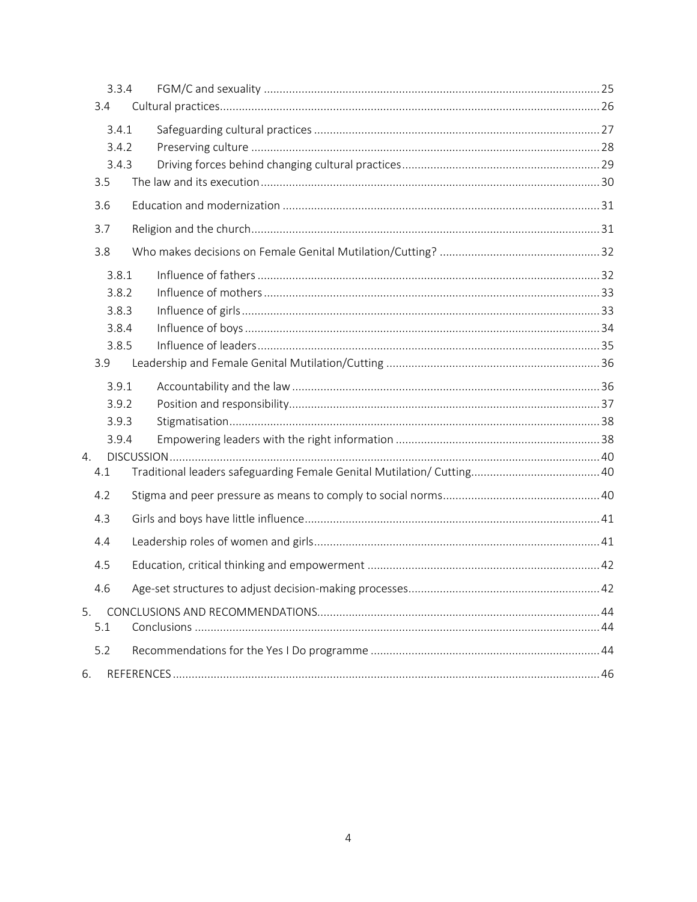|           | 3.3.4 |  |
|-----------|-------|--|
| 3.4       |       |  |
|           | 3.4.1 |  |
|           | 3.4.2 |  |
|           | 3.4.3 |  |
| 3.5       |       |  |
| 3.6       |       |  |
| 3.7       |       |  |
| 3.8       |       |  |
|           | 3.8.1 |  |
|           | 3.8.2 |  |
|           | 3.8.3 |  |
|           | 3.8.4 |  |
|           | 3.8.5 |  |
| 3.9       |       |  |
|           | 3.9.1 |  |
|           | 3.9.2 |  |
|           | 3.9.3 |  |
|           | 3.9.4 |  |
| 4.<br>4.1 |       |  |
|           |       |  |
| 4.2       |       |  |
| 4.3       |       |  |
| 4.4       |       |  |
| 4.5       |       |  |
| 4.6       |       |  |
| 5.        |       |  |
| 5.1       |       |  |
| 5.2       |       |  |
| 6.        |       |  |
|           |       |  |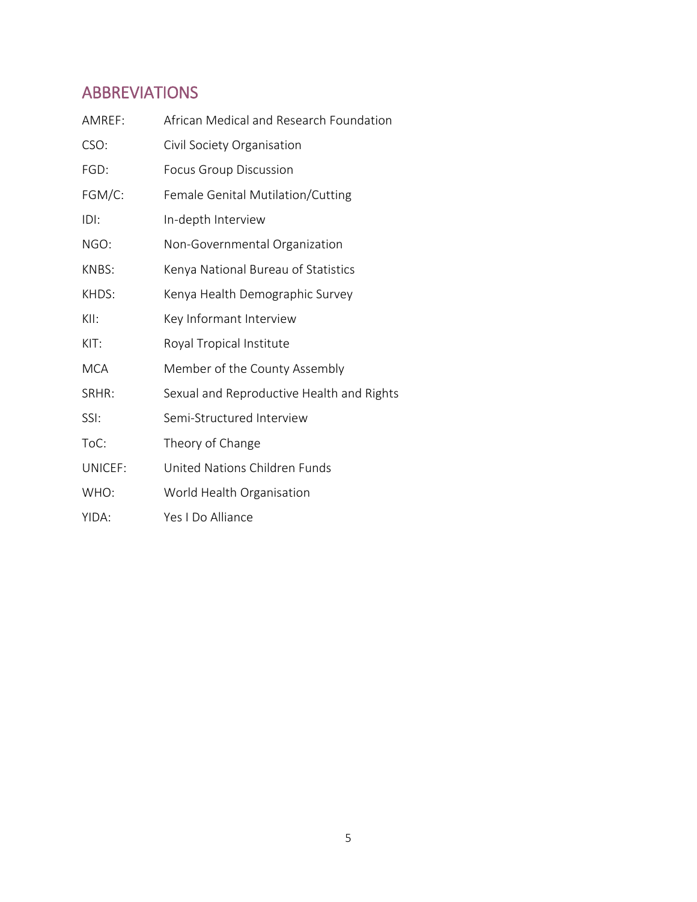## <span id="page-4-0"></span>ABBREVIATIONS

| AMREF:     | African Medical and Research Foundation   |
|------------|-------------------------------------------|
| CSO:       | Civil Society Organisation                |
| FGD:       | <b>Focus Group Discussion</b>             |
| FGM/C:     | Female Genital Mutilation/Cutting         |
| IDI:       | In-depth Interview                        |
| NGO:       | Non-Governmental Organization             |
| KNBS:      | Kenya National Bureau of Statistics       |
| KHDS:      | Kenya Health Demographic Survey           |
| KII:       | Key Informant Interview                   |
| KIT:       | Royal Tropical Institute                  |
| <b>MCA</b> | Member of the County Assembly             |
| SRHR:      | Sexual and Reproductive Health and Rights |
| SSI:       | Semi-Structured Interview                 |
| ToC:       | Theory of Change                          |
| UNICEF:    | United Nations Children Funds             |
| WHO:       | World Health Organisation                 |
| YIDA:      | Yes I Do Alliance                         |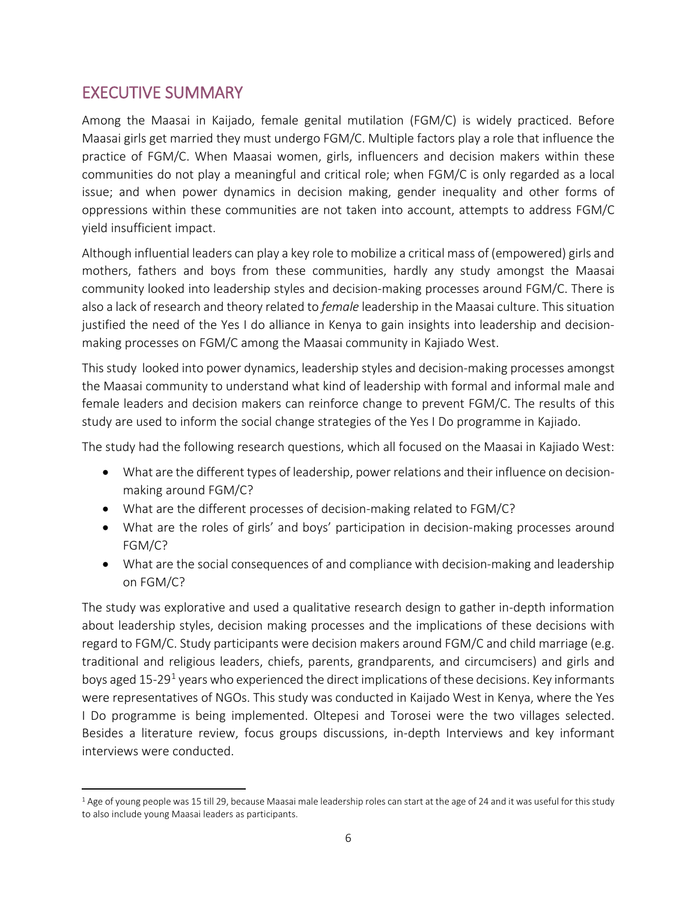## <span id="page-5-0"></span>EXECUTIVE SUMMARY

Among the Maasai in Kaijado, female genital mutilation (FGM/C) is widely practiced. Before Maasai girls get married they must undergo FGM/C. Multiple factors play a role that influence the practice of FGM/C. When Maasai women, girls, influencers and decision makers within these communities do not play a meaningful and critical role; when FGM/C is only regarded as a local issue; and when power dynamics in decision making, gender inequality and other forms of oppressions within these communities are not taken into account, attempts to address FGM/C yield insufficient impact.

Although influential leaders can play a key role to mobilize a critical mass of (empowered) girls and mothers, fathers and boys from these communities, hardly any study amongst the Maasai community looked into leadership styles and decision-making processes around FGM/C. There is also a lack of research and theory related to *female* leadership in the Maasai culture. This situation justified the need of the Yes I do alliance in Kenya to gain insights into leadership and decisionmaking processes on FGM/C among the Maasai community in Kajiado West.

This study looked into power dynamics, leadership styles and decision-making processes amongst the Maasai community to understand what kind of leadership with formal and informal male and female leaders and decision makers can reinforce change to prevent FGM/C. The results of this study are used to inform the social change strategies of the Yes I Do programme in Kajiado.

The study had the following research questions, which all focused on the Maasai in Kajiado West:

- What are the different types of leadership, power relations and their influence on decisionmaking around FGM/C?
- What are the different processes of decision-making related to FGM/C?
- What are the roles of girls' and boys' participation in decision-making processes around FGM/C?
- What are the social consequences of and compliance with decision-making and leadership on FGM/C?

The study was explorative and used a qualitative research design to gather in-depth information about leadership styles, decision making processes and the implications of these decisions with regard to FGM/C. Study participants were decision makers around FGM/C and child marriage (e.g. traditional and religious leaders, chiefs, parents, grandparents, and circumcisers) and girls and boys aged [1](#page-5-1)5-29<sup>1</sup> years who experienced the direct implications of these decisions. Key informants were representatives of NGOs. This study was conducted in Kaijado West in Kenya, where the Yes I Do programme is being implemented. Oltepesi and Torosei were the two villages selected. Besides a literature review, focus groups discussions, in-depth Interviews and key informant interviews were conducted.

<span id="page-5-1"></span><sup>&</sup>lt;sup>1</sup> Age of young people was 15 till 29, because Maasai male leadership roles can start at the age of 24 and it was useful for this study to also include young Maasai leaders as participants.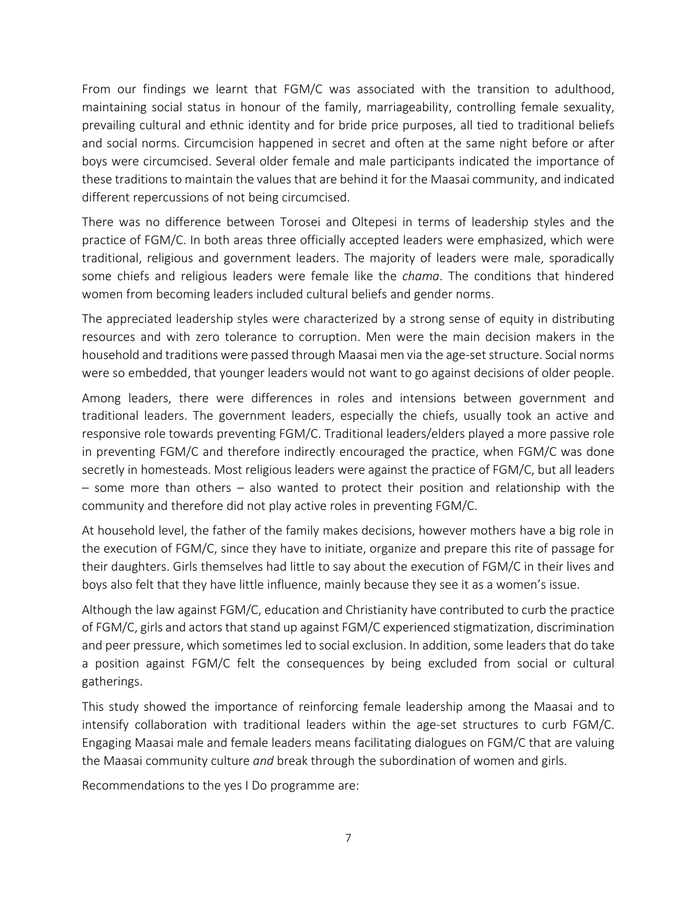From our findings we learnt that FGM/C was associated with the transition to adulthood, maintaining social status in honour of the family, marriageability, controlling female sexuality, prevailing cultural and ethnic identity and for bride price purposes, all tied to traditional beliefs and social norms. Circumcision happened in secret and often at the same night before or after boys were circumcised. Several older female and male participants indicated the importance of these traditions to maintain the values that are behind it for the Maasai community, and indicated different repercussions of not being circumcised.

There was no difference between Torosei and Oltepesi in terms of leadership styles and the practice of FGM/C. In both areas three officially accepted leaders were emphasized, which were traditional, religious and government leaders. The majority of leaders were male, sporadically some chiefs and religious leaders were female like the *chama*. The conditions that hindered women from becoming leaders included cultural beliefs and gender norms.

The appreciated leadership styles were characterized by a strong sense of equity in distributing resources and with zero tolerance to corruption. Men were the main decision makers in the household and traditions were passed through Maasai men via the age-set structure. Social norms were so embedded, that younger leaders would not want to go against decisions of older people.

Among leaders, there were differences in roles and intensions between government and traditional leaders. The government leaders, especially the chiefs, usually took an active and responsive role towards preventing FGM/C. Traditional leaders/elders played a more passive role in preventing FGM/C and therefore indirectly encouraged the practice, when FGM/C was done secretly in homesteads. Most religious leaders were against the practice of FGM/C, but all leaders – some more than others – also wanted to protect their position and relationship with the community and therefore did not play active roles in preventing FGM/C.

At household level, the father of the family makes decisions, however mothers have a big role in the execution of FGM/C, since they have to initiate, organize and prepare this rite of passage for their daughters. Girls themselves had little to say about the execution of FGM/C in their lives and boys also felt that they have little influence, mainly because they see it as a women's issue.

Although the law against FGM/C, education and Christianity have contributed to curb the practice of FGM/C, girls and actors that stand up against FGM/C experienced stigmatization, discrimination and peer pressure, which sometimes led to social exclusion. In addition, some leaders that do take a position against FGM/C felt the consequences by being excluded from social or cultural gatherings.

This study showed the importance of reinforcing female leadership among the Maasai and to intensify collaboration with traditional leaders within the age-set structures to curb FGM/C. Engaging Maasai male and female leaders means facilitating dialogues on FGM/C that are valuing the Maasai community culture *and* break through the subordination of women and girls.

Recommendations to the yes I Do programme are: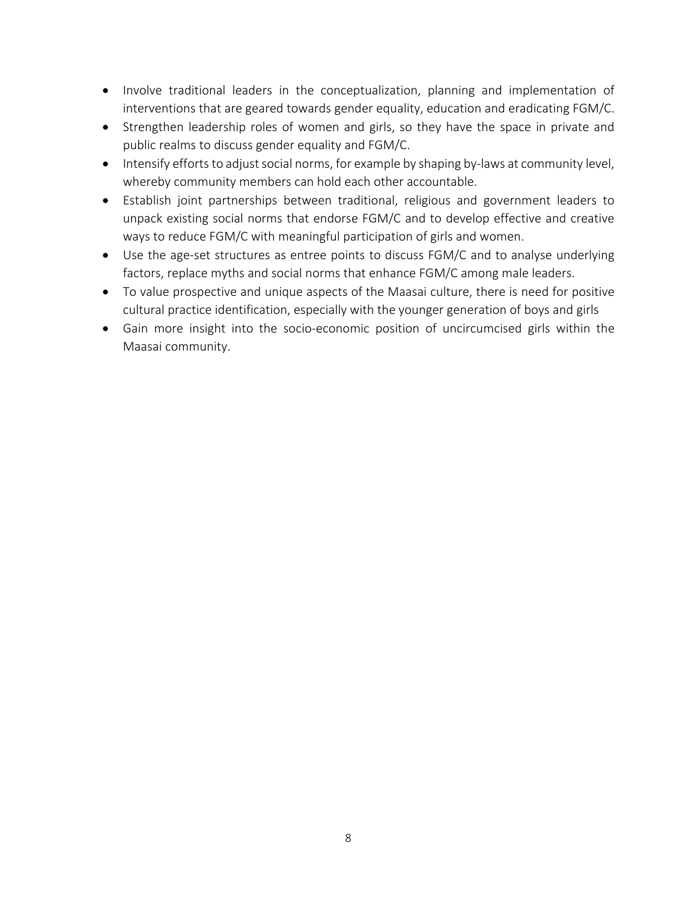- Involve traditional leaders in the conceptualization, planning and implementation of interventions that are geared towards gender equality, education and eradicating FGM/C.
- Strengthen leadership roles of women and girls, so they have the space in private and public realms to discuss gender equality and FGM/C.
- Intensify efforts to adjust social norms, for example by shaping by-laws at community level, whereby community members can hold each other accountable.
- Establish joint partnerships between traditional, religious and government leaders to unpack existing social norms that endorse FGM/C and to develop effective and creative ways to reduce FGM/C with meaningful participation of girls and women.
- Use the age-set structures as entree points to discuss FGM/C and to analyse underlying factors, replace myths and social norms that enhance FGM/C among male leaders.
- To value prospective and unique aspects of the Maasai culture, there is need for positive cultural practice identification, especially with the younger generation of boys and girls
- Gain more insight into the socio-economic position of uncircumcised girls within the Maasai community.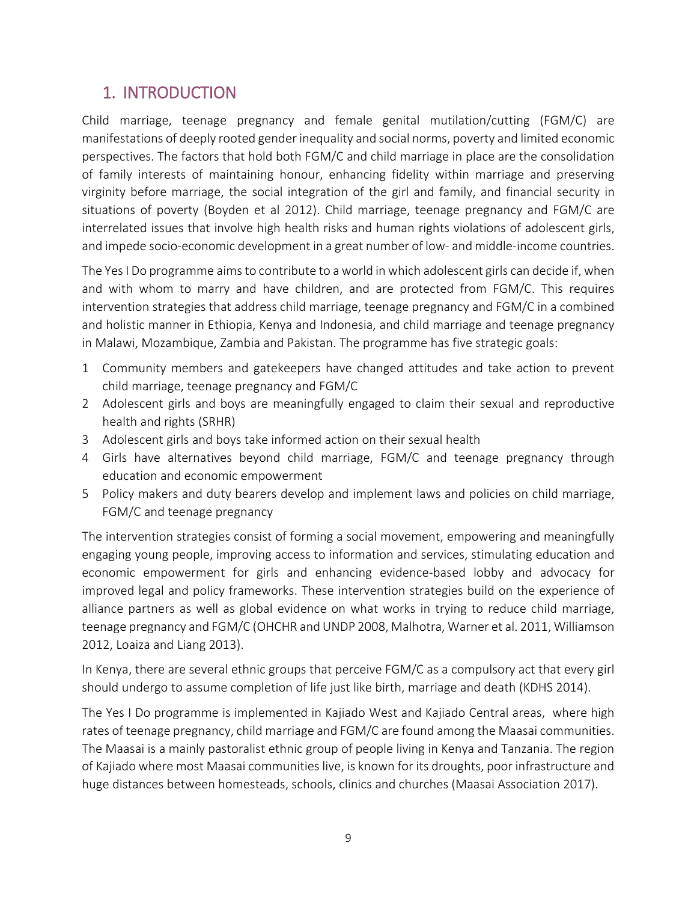## <span id="page-8-0"></span>1. INTRODUCTION

Child marriage, teenage pregnancy and female genital mutilation/cutting (FGM/C) are manifestations of deeply rooted gender inequality and social norms, poverty and limited economic perspectives. The factors that hold both FGM/C and child marriage in place are the consolidation of family interests of maintaining honour, enhancing fidelity within marriage and preserving virginity before marriage, the social integration of the girl and family, and financial security in situations of poverty (Boyden et al 2012). Child marriage, teenage pregnancy and FGM/C are interrelated issues that involve high health risks and human rights violations of adolescent girls, and impede socio-economic development in a great number of low- and middle-income countries.

The Yes I Do programme aims to contribute to a world in which adolescent girls can decide if, when and with whom to marry and have children, and are protected from FGM/C. This requires intervention strategies that address child marriage, teenage pregnancy and FGM/C in a combined and holistic manner in Ethiopia, Kenya and Indonesia, and child marriage and teenage pregnancy in Malawi, Mozambique, Zambia and Pakistan. The programme has five strategic goals:

- 1 Community members and gatekeepers have changed attitudes and take action to prevent child marriage, teenage pregnancy and FGM/C
- 2 Adolescent girls and boys are meaningfully engaged to claim their sexual and reproductive health and rights (SRHR)
- 3 Adolescent girls and boys take informed action on their sexual health
- 4 Girls have alternatives beyond child marriage, FGM/C and teenage pregnancy through education and economic empowerment
- 5 Policy makers and duty bearers develop and implement laws and policies on child marriage, FGM/C and teenage pregnancy

The intervention strategies consist of forming a social movement, empowering and meaningfully engaging young people, improving access to information and services, stimulating education and economic empowerment for girls and enhancing evidence-based lobby and advocacy for improved legal and policy frameworks. These intervention strategies build on the experience of alliance partners as well as global evidence on what works in trying to reduce child marriage, teenage pregnancy and FGM/C (OHCHR and UNDP 2008, Malhotra, Warner et al. 2011, Williamson 2012, Loaiza and Liang 2013).

In Kenya, there are several ethnic groups that perceive FGM/C as a compulsory act that every girl should undergo to assume completion of life just like birth, marriage and death (KDHS 2014).

The Yes I Do programme is implemented in Kajiado West and Kajiado Central areas, where high rates of teenage pregnancy, child marriage and FGM/C are found among the Maasai communities. The Maasai is a mainly pastoralist ethnic group of people living in Kenya and Tanzania. The region of Kajiado where most Maasai communities live, is known for its droughts, poor infrastructure and huge distances between homesteads, schools, clinics and churches (Maasai Association 2017).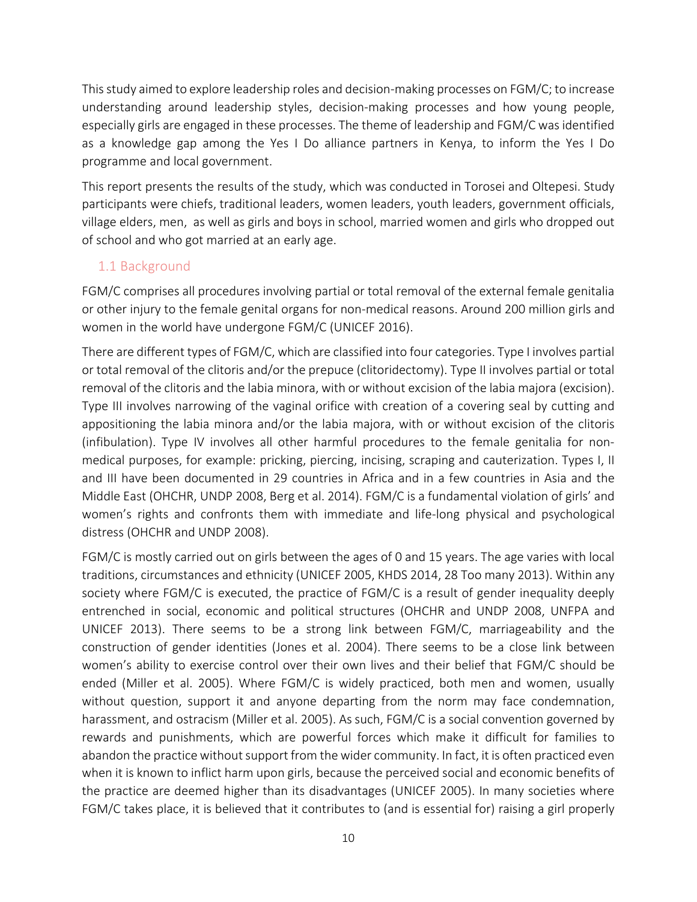This study aimed to explore leadership roles and decision-making processes on FGM/C; to increase understanding around leadership styles, decision-making processes and how young people, especially girls are engaged in these processes. The theme of leadership and FGM/C was identified as a knowledge gap among the Yes I Do alliance partners in Kenya, to inform the Yes I Do programme and local government.

This report presents the results of the study, which was conducted in Torosei and Oltepesi. Study participants were chiefs, traditional leaders, women leaders, youth leaders, government officials, village elders, men, as well as girls and boys in school, married women and girls who dropped out of school and who got married at an early age.

#### <span id="page-9-0"></span>1.1 Background

FGM/C comprises all procedures involving partial or total removal of the external female genitalia or other injury to the female genital organs for non-medical reasons. Around 200 million girls and women in the world have undergone FGM/C (UNICEF 2016).

There are different types of FGM/C, which are classified into four categories. Type I involves partial or total removal of the clitoris and/or the prepuce (clitoridectomy). Type II involves partial or total removal of the clitoris and the labia minora, with or without excision of the labia majora (excision). Type III involves narrowing of the vaginal orifice with creation of a covering seal by cutting and appositioning the labia minora and/or the labia majora, with or without excision of the clitoris (infibulation). Type IV involves all other harmful procedures to the female genitalia for nonmedical purposes, for example: pricking, piercing, incising, scraping and cauterization. Types I, II and III have been documented in 29 countries in Africa and in a few countries in Asia and the Middle East (OHCHR, UNDP 2008, Berg et al. 2014). FGM/C is a fundamental violation of girls' and women's rights and confronts them with immediate and life-long physical and psychological distress (OHCHR and UNDP 2008).

FGM/C is mostly carried out on girls between the ages of 0 and 15 years. The age varies with local traditions, circumstances and ethnicity (UNICEF 2005, KHDS 2014, 28 Too many 2013). Within any society where FGM/C is executed, the practice of FGM/C is a result of gender inequality deeply entrenched in social, economic and political structures (OHCHR and UNDP 2008, UNFPA and UNICEF 2013). There seems to be a strong link between FGM/C, marriageability and the construction of gender identities (Jones et al. 2004). There seems to be a close link between women's ability to exercise control over their own lives and their belief that FGM/C should be ended (Miller et al. 2005). Where FGM/C is widely practiced, both men and women, usually without question, support it and anyone departing from the norm may face condemnation, harassment, and ostracism (Miller et al. 2005). As such, FGM/C is a social convention governed by rewards and punishments, which are powerful forces which make it difficult for families to abandon the practice without support from the wider community. In fact, it is often practiced even when it is known to inflict harm upon girls, because the perceived social and economic benefits of the practice are deemed higher than its disadvantages (UNICEF 2005). In many societies where FGM/C takes place, it is believed that it contributes to (and is essential for) raising a girl properly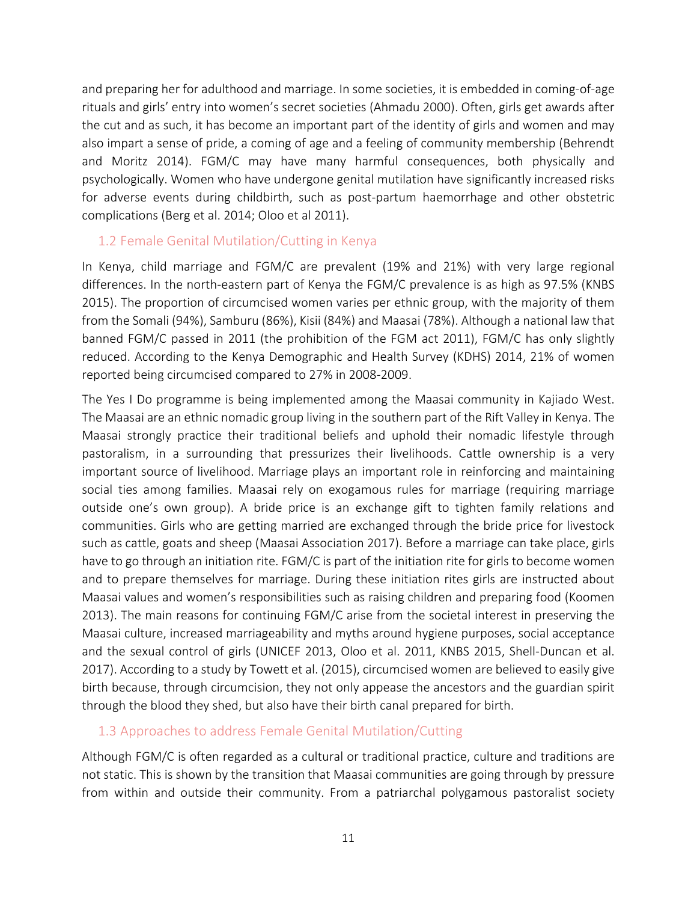and preparing her for adulthood and marriage. In some societies, it is embedded in coming-of-age rituals and girls' entry into women's secret societies (Ahmadu 2000). Often, girls get awards after the cut and as such, it has become an important part of the identity of girls and women and may also impart a sense of pride, a coming of age and a feeling of community membership (Behrendt and Moritz 2014). FGM/C may have many harmful consequences, both physically and psychologically. Women who have undergone genital mutilation have significantly increased risks for adverse events during childbirth, such as post-partum haemorrhage and other obstetric complications (Berg et al. 2014; Oloo et al 2011).

#### <span id="page-10-0"></span>1.2 Female Genital Mutilation/Cutting in Kenya

In Kenya, child marriage and FGM/C are prevalent (19% and 21%) with very large regional differences. In the north-eastern part of Kenya the FGM/C prevalence is as high as 97.5% (KNBS 2015). The proportion of circumcised women varies per ethnic group, with the majority of them from the Somali (94%), Samburu (86%), Kisii (84%) and Maasai (78%). Although a national law that banned FGM/C passed in 2011 (the prohibition of the FGM act 2011), FGM/C has only slightly reduced. According to the Kenya Demographic and Health Survey (KDHS) 2014, 21% of women reported being circumcised compared to 27% in 2008-2009.

The Yes I Do programme is being implemented among the Maasai community in Kajiado West. The Maasai are an ethnic nomadic group living in the southern part of the Rift Valley in Kenya. The Maasai strongly practice their traditional beliefs and uphold their nomadic lifestyle through pastoralism, in a surrounding that pressurizes their livelihoods. Cattle ownership is a very important source of livelihood. Marriage plays an important role in reinforcing and maintaining social ties among families. Maasai rely on exogamous rules for marriage (requiring marriage outside one's own group). A bride price is an exchange gift to tighten family relations and communities. Girls who are getting married are exchanged through the bride price for livestock such as cattle, goats and sheep (Maasai Association 2017). Before a marriage can take place, girls have to go through an initiation rite. FGM/C is part of the initiation rite for girls to become women and to prepare themselves for marriage. During these initiation rites girls are instructed about Maasai values and women's responsibilities such as raising children and preparing food (Koomen 2013). The main reasons for continuing FGM/C arise from the societal interest in preserving the Maasai culture, increased marriageability and myths around hygiene purposes, social acceptance and the sexual control of girls (UNICEF 2013, Oloo et al. 2011, KNBS 2015, Shell-Duncan et al. 2017). According to a study by Towett et al. (2015), circumcised women are believed to easily give birth because, through circumcision, they not only appease the ancestors and the guardian spirit through the blood they shed, but also have their birth canal prepared for birth.

#### <span id="page-10-1"></span>1.3 Approaches to address Female Genital Mutilation/Cutting

Although FGM/C is often regarded as a cultural or traditional practice, culture and traditions are not static. This is shown by the transition that Maasai communities are going through by pressure from within and outside their community. From a patriarchal polygamous pastoralist society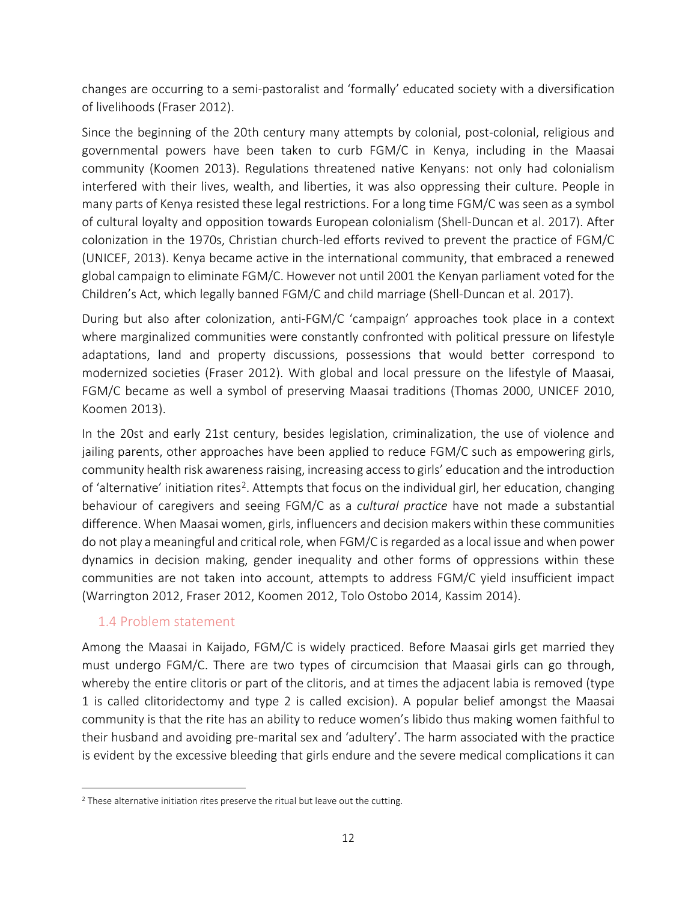changes are occurring to a semi-pastoralist and 'formally' educated society with a diversification of livelihoods (Fraser 2012).

Since the beginning of the 20th century many attempts by colonial, post-colonial, religious and governmental powers have been taken to curb FGM/C in Kenya, including in the Maasai community (Koomen 2013). Regulations threatened native Kenyans: not only had colonialism interfered with their lives, wealth, and liberties, it was also oppressing their culture. People in many parts of Kenya resisted these legal restrictions. For a long time FGM/C was seen as a symbol of cultural loyalty and opposition towards European colonialism (Shell-Duncan et al. 2017). After colonization in the 1970s, Christian church-led efforts revived to prevent the practice of FGM/C (UNICEF, 2013). Kenya became active in the international community, that embraced a renewed global campaign to eliminate FGM/C. However not until 2001 the Kenyan parliament voted for the Children's Act, which legally banned FGM/C and child marriage (Shell-Duncan et al. 2017).

During but also after colonization, anti-FGM/C 'campaign' approaches took place in a context where marginalized communities were constantly confronted with political pressure on lifestyle adaptations, land and property discussions, possessions that would better correspond to modernized societies (Fraser 2012). With global and local pressure on the lifestyle of Maasai, FGM/C became as well a symbol of preserving Maasai traditions (Thomas 2000, UNICEF 2010, Koomen 2013).

In the 20st and early 21st century, besides legislation, criminalization, the use of violence and jailing parents, other approaches have been applied to reduce FGM/C such as empowering girls, community health risk awareness raising, increasing access to girls' education and the introduction of 'alternative' initiation rites<sup>[2](#page-11-1)</sup>. Attempts that focus on the individual girl, her education, changing behaviour of caregivers and seeing FGM/C as a *cultural practice* have not made a substantial difference. When Maasai women, girls, influencers and decision makers within these communities do not play a meaningful and critical role, when FGM/C is regarded as a local issue and when power dynamics in decision making, gender inequality and other forms of oppressions within these communities are not taken into account, attempts to address FGM/C yield insufficient impact (Warrington 2012, Fraser 2012, Koomen 2012, Tolo Ostobo 2014, Kassim 2014).

#### <span id="page-11-0"></span>1.4 Problem statement

Among the Maasai in Kaijado, FGM/C is widely practiced. Before Maasai girls get married they must undergo FGM/C. There are two types of circumcision that Maasai girls can go through, whereby the entire clitoris or part of the clitoris, and at times the adjacent labia is removed (type 1 is called clitoridectomy and type 2 is called excision). A popular belief amongst the Maasai community is that the rite has an ability to reduce women's libido thus making women faithful to their husband and avoiding pre-marital sex and 'adultery'. The harm associated with the practice is evident by the excessive bleeding that girls endure and the severe medical complications it can

<span id="page-11-1"></span> $2$  These alternative initiation rites preserve the ritual but leave out the cutting.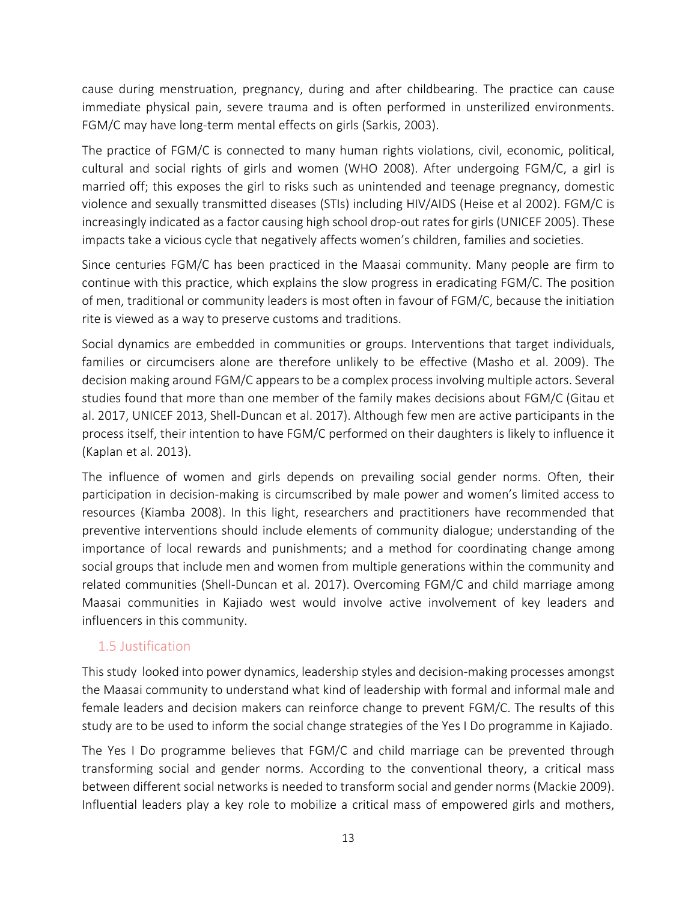cause during menstruation, pregnancy, during and after childbearing. The practice can cause immediate physical pain, severe trauma and is often performed in unsterilized environments. FGM/C may have long-term mental effects on girls (Sarkis, 2003).

The practice of FGM/C is connected to many human rights violations, civil, economic, political, cultural and social rights of girls and women (WHO 2008). After undergoing FGM/C, a girl is married off; this exposes the girl to risks such as unintended and teenage pregnancy, domestic violence and sexually transmitted diseases (STIs) including HIV/AIDS (Heise et al 2002). FGM/C is increasingly indicated as a factor causing high school drop-out rates for girls (UNICEF 2005). These impacts take a vicious cycle that negatively affects women's children, families and societies.

Since centuries FGM/C has been practiced in the Maasai community. Many people are firm to continue with this practice, which explains the slow progress in eradicating FGM/C. The position of men, traditional or community leaders is most often in favour of FGM/C, because the initiation rite is viewed as a way to preserve customs and traditions.

Social dynamics are embedded in communities or groups. Interventions that target individuals, families or circumcisers alone are therefore unlikely to be effective (Masho et al. 2009). The decision making around FGM/C appears to be a complex process involving multiple actors. Several studies found that more than one member of the family makes decisions about FGM/C (Gitau et al. 2017, UNICEF 2013, Shell-Duncan et al. 2017). Although few men are active participants in the process itself, their intention to have FGM/C performed on their daughters is likely to influence it (Kaplan et al. 2013).

The influence of women and girls depends on prevailing social gender norms. Often, their participation in decision-making is circumscribed by male power and women's limited access to resources (Kiamba 2008). In this light, researchers and practitioners have recommended that preventive interventions should include elements of community dialogue; understanding of the importance of local rewards and punishments; and a method for coordinating change among social groups that include men and women from multiple generations within the community and related communities (Shell-Duncan et al. 2017). Overcoming FGM/C and child marriage among Maasai communities in Kajiado west would involve active involvement of key leaders and influencers in this community.

#### <span id="page-12-0"></span>1.5 Justification

This study looked into power dynamics, leadership styles and decision-making processes amongst the Maasai community to understand what kind of leadership with formal and informal male and female leaders and decision makers can reinforce change to prevent FGM/C. The results of this study are to be used to inform the social change strategies of the Yes I Do programme in Kajiado.

The Yes I Do programme believes that FGM/C and child marriage can be prevented through transforming social and gender norms. According to the conventional theory, a critical mass between different social networks is needed to transform social and gender norms (Mackie 2009). Influential leaders play a key role to mobilize a critical mass of empowered girls and mothers,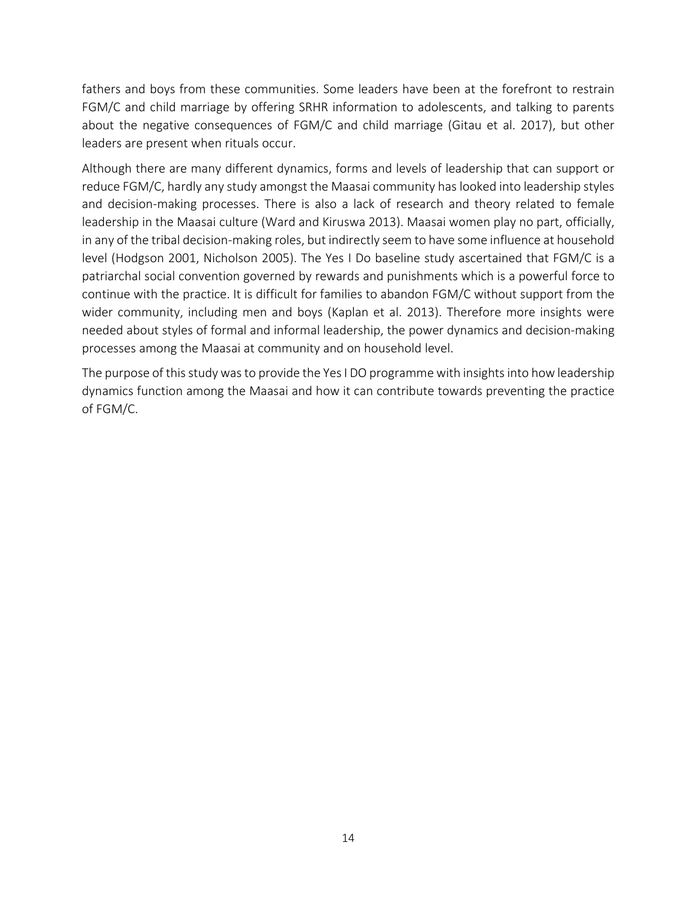fathers and boys from these communities. Some leaders have been at the forefront to restrain FGM/C and child marriage by offering SRHR information to adolescents, and talking to parents about the negative consequences of FGM/C and child marriage (Gitau et al. 2017), but other leaders are present when rituals occur.

Although there are many different dynamics, forms and levels of leadership that can support or reduce FGM/C, hardly any study amongst the Maasai community has looked into leadership styles and decision-making processes. There is also a lack of research and theory related to female leadership in the Maasai culture (Ward and Kiruswa 2013). Maasai women play no part, officially, in any of the tribal decision-making roles, but indirectly seem to have some influence at household level (Hodgson 2001, Nicholson 2005). The Yes I Do baseline study ascertained that FGM/C is a patriarchal social convention governed by rewards and punishments which is a powerful force to continue with the practice. It is difficult for families to abandon FGM/C without support from the wider community, including men and boys (Kaplan et al. 2013). Therefore more insights were needed about styles of formal and informal leadership, the power dynamics and decision-making processes among the Maasai at community and on household level.

The purpose of this study wasto provide the Yes I DO programme with insights into how leadership dynamics function among the Maasai and how it can contribute towards preventing the practice of FGM/C.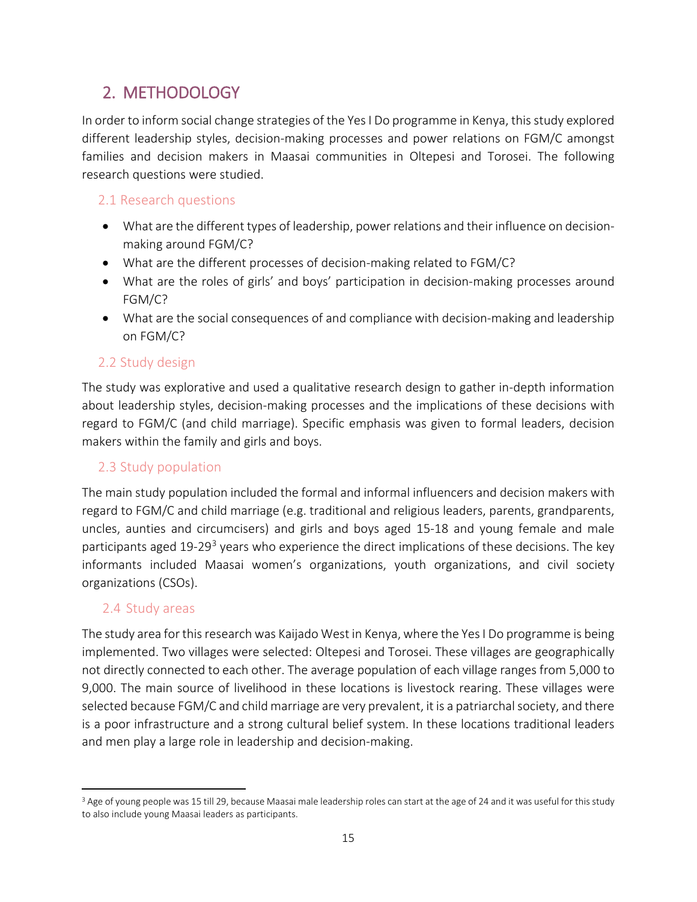## <span id="page-14-0"></span>2. METHODOLOGY

In order to inform social change strategies of the Yes I Do programme in Kenya, this study explored different leadership styles, decision-making processes and power relations on FGM/C amongst families and decision makers in Maasai communities in Oltepesi and Torosei. The following research questions were studied.

#### <span id="page-14-1"></span>2.1 Research questions

- What are the different types of leadership, power relations and their influence on decisionmaking around FGM/C?
- What are the different processes of decision-making related to FGM/C?
- What are the roles of girls' and boys' participation in decision-making processes around FGM/C?
- What are the social consequences of and compliance with decision-making and leadership on FGM/C?

#### <span id="page-14-2"></span>2.2 Study design

The study was explorative and used a qualitative research design to gather in-depth information about leadership styles, decision-making processes and the implications of these decisions with regard to FGM/C (and child marriage). Specific emphasis was given to formal leaders, decision makers within the family and girls and boys.

#### <span id="page-14-3"></span>2.3 Study population

The main study population included the formal and informal influencers and decision makers with regard to FGM/C and child marriage (e.g. traditional and religious leaders, parents, grandparents, uncles, aunties and circumcisers) and girls and boys aged 15-18 and young female and male participants aged 19-29<sup>[3](#page-14-5)</sup> years who experience the direct implications of these decisions. The key informants included Maasai women's organizations, youth organizations, and civil society organizations (CSOs).

#### <span id="page-14-4"></span>2.4 Study areas

The study area for this research was Kaijado West in Kenya, where the Yes I Do programme is being implemented. Two villages were selected: Oltepesi and Torosei. These villages are geographically not directly connected to each other. The average population of each village ranges from 5,000 to 9,000. The main source of livelihood in these locations is livestock rearing. These villages were selected because FGM/C and child marriage are very prevalent, it is a patriarchal society, and there is a poor infrastructure and a strong cultural belief system. In these locations traditional leaders and men play a large role in leadership and decision-making.

<span id="page-14-5"></span><sup>&</sup>lt;sup>3</sup> Age of young people was 15 till 29, because Maasai male leadership roles can start at the age of 24 and it was useful for this study to also include young Maasai leaders as participants.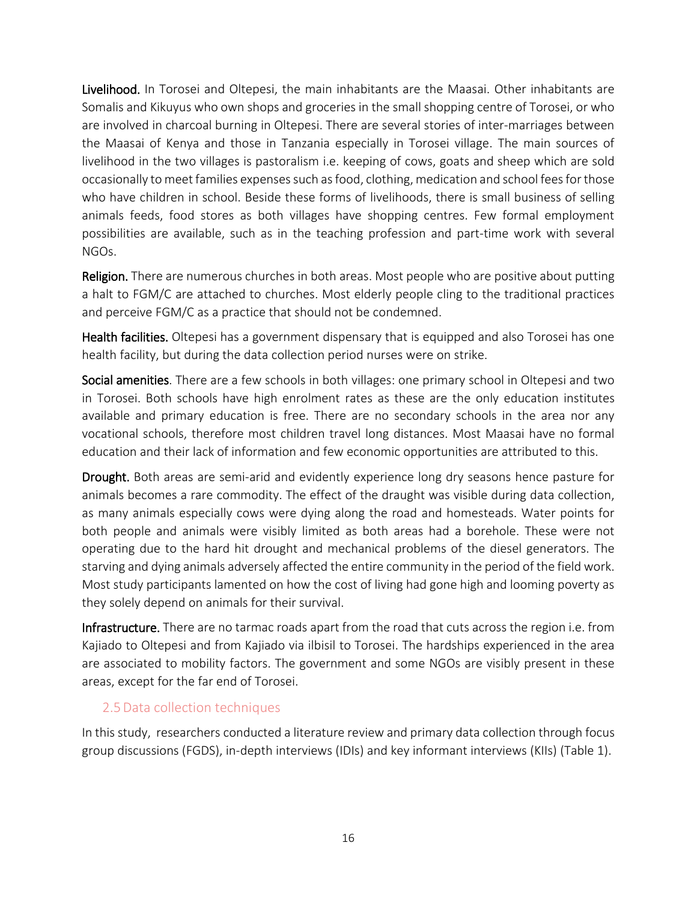Livelihood. In Torosei and Oltepesi, the main inhabitants are the Maasai. Other inhabitants are Somalis and Kikuyus who own shops and groceries in the small shopping centre of Torosei, or who are involved in charcoal burning in Oltepesi. There are several stories of inter-marriages between the Maasai of Kenya and those in Tanzania especially in Torosei village. The main sources of livelihood in the two villages is pastoralism i.e. keeping of cows, goats and sheep which are sold occasionally to meet families expenses such as food, clothing, medication and school fees for those who have children in school. Beside these forms of livelihoods, there is small business of selling animals feeds, food stores as both villages have shopping centres. Few formal employment possibilities are available, such as in the teaching profession and part-time work with several NGOs.

Religion. There are numerous churches in both areas. Most people who are positive about putting a halt to FGM/C are attached to churches. Most elderly people cling to the traditional practices and perceive FGM/C as a practice that should not be condemned.

Health facilities. Oltepesi has a government dispensary that is equipped and also Torosei has one health facility, but during the data collection period nurses were on strike.

Social amenities. There are a few schools in both villages: one primary school in Oltepesi and two in Torosei. Both schools have high enrolment rates as these are the only education institutes available and primary education is free. There are no secondary schools in the area nor any vocational schools, therefore most children travel long distances. Most Maasai have no formal education and their lack of information and few economic opportunities are attributed to this.

Drought. Both areas are semi-arid and evidently experience long dry seasons hence pasture for animals becomes a rare commodity. The effect of the draught was visible during data collection, as many animals especially cows were dying along the road and homesteads. Water points for both people and animals were visibly limited as both areas had a borehole. These were not operating due to the hard hit drought and mechanical problems of the diesel generators. The starving and dying animals adversely affected the entire community in the period of the field work. Most study participants lamented on how the cost of living had gone high and looming poverty as they solely depend on animals for their survival.

Infrastructure. There are no tarmac roads apart from the road that cuts across the region i.e. from Kajiado to Oltepesi and from Kajiado via ilbisil to Torosei. The hardships experienced in the area are associated to mobility factors. The government and some NGOs are visibly present in these areas, except for the far end of Torosei.

#### <span id="page-15-0"></span>2.5Data collection techniques

In this study, researchers conducted a literature review and primary data collection through focus group discussions (FGDS), in-depth interviews (IDIs) and key informant interviews (KIIs) (Table 1).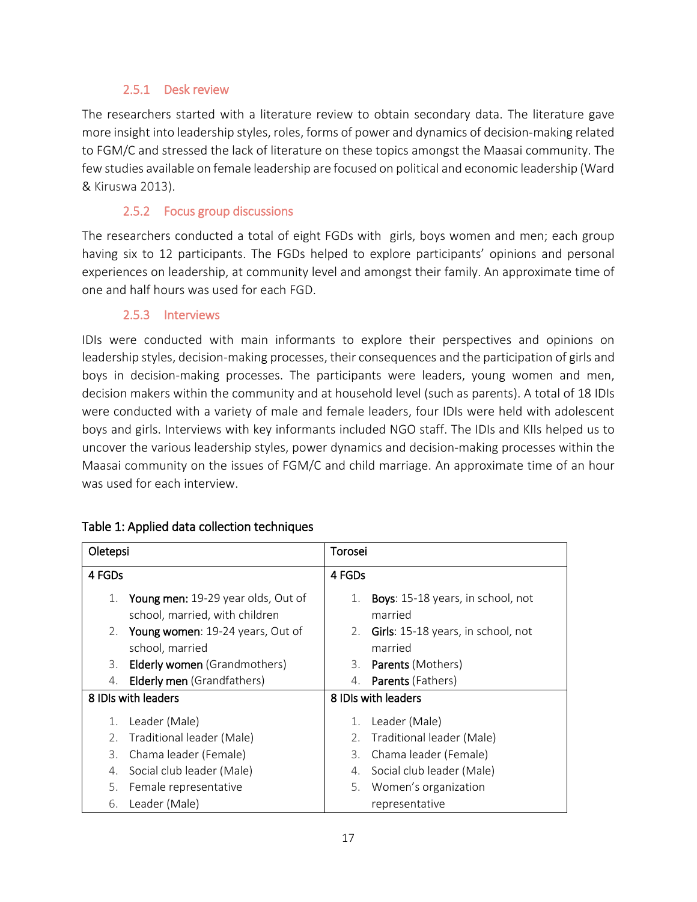#### 2.5.1 Desk review

<span id="page-16-0"></span>The researchers started with a literature review to obtain secondary data. The literature gave more insight into leadership styles, roles, forms of power and dynamics of decision-making related to FGM/C and stressed the lack of literature on these topics amongst the Maasai community. The few studies available on female leadership are focused on political and economic leadership (Ward & Kiruswa 2013).

#### 2.5.2 Focus group discussions

<span id="page-16-1"></span>The researchers conducted a total of eight FGDs with girls, boys women and men; each group having six to 12 participants. The FGDs helped to explore participants' opinions and personal experiences on leadership, at community level and amongst their family. An approximate time of one and half hours was used for each FGD.

#### 2.5.3 Interviews

<span id="page-16-2"></span>IDIs were conducted with main informants to explore their perspectives and opinions on leadership styles, decision-making processes, their consequences and the participation of girls and boys in decision-making processes. The participants were leaders, young women and men, decision makers within the community and at household level (such as parents). A total of 18 IDIs were conducted with a variety of male and female leaders, four IDIs were held with adolescent boys and girls. Interviews with key informants included NGO staff. The IDIs and KIIs helped us to uncover the various leadership styles, power dynamics and decision-making processes within the Maasai community on the issues of FGM/C and child marriage. An approximate time of an hour was used for each interview.

| Oletepsi            |                                                                      |    | Torosei                                      |  |  |
|---------------------|----------------------------------------------------------------------|----|----------------------------------------------|--|--|
| 4 FGDs              |                                                                      |    | 4 FGDs                                       |  |  |
| 1.                  | Young men: 19-29 year olds, Out of<br>school, married, with children | 1. | Boys: 15-18 years, in school, not<br>married |  |  |
| 2.                  | Young women: 19-24 years, Out of                                     | 2. | <b>Girls</b> : 15-18 years, in school, not   |  |  |
|                     | school, married                                                      |    | married                                      |  |  |
| 3.                  | <b>Elderly women</b> (Grandmothers)                                  | 3. | <b>Parents (Mothers)</b>                     |  |  |
| 4.                  | <b>Elderly men</b> (Grandfathers)                                    | 4. | <b>Parents</b> (Fathers)                     |  |  |
| 8 IDIs with leaders |                                                                      |    | 8 IDIs with leaders                          |  |  |
| 1.                  | Leader (Male)                                                        | 1. | Leader (Male)                                |  |  |
| 2.                  | Traditional leader (Male)                                            | 2. | Traditional leader (Male)                    |  |  |
| 3.                  | Chama leader (Female)                                                | 3. | Chama leader (Female)                        |  |  |
| 4.                  | Social club leader (Male)                                            | 4. | Social club leader (Male)                    |  |  |
|                     | 5. Female representative                                             |    | 5. Women's organization                      |  |  |
| 6.                  | Leader (Male)                                                        |    | representative                               |  |  |

#### Table 1: Applied data collection techniques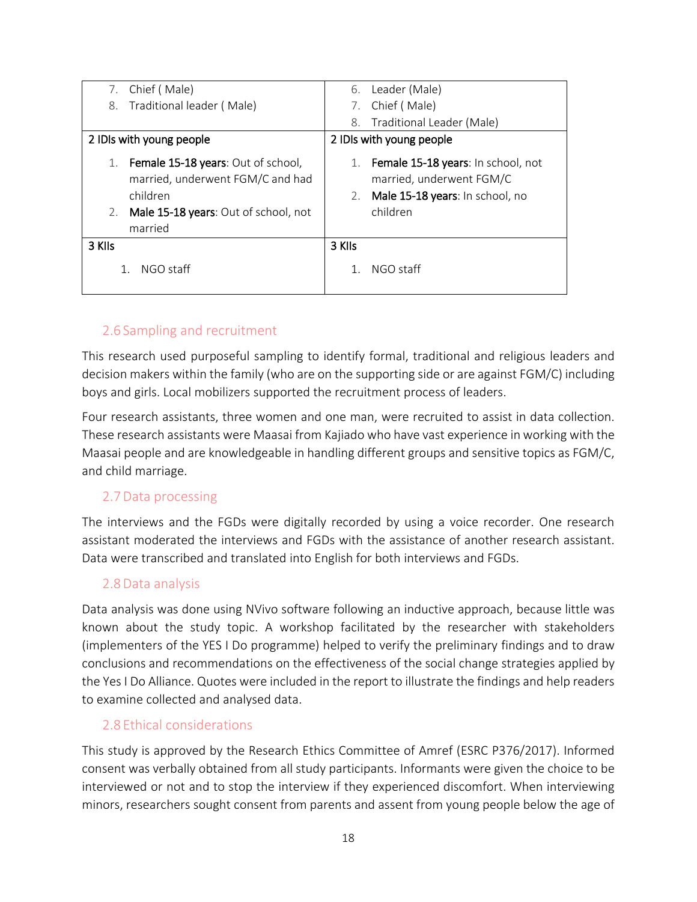| Chief (Male)<br>7.                                                                                                                                | 6.                       | Leader (Male)                                                                                                 |  |
|---------------------------------------------------------------------------------------------------------------------------------------------------|--------------------------|---------------------------------------------------------------------------------------------------------------|--|
| 8. Traditional leader (Male)                                                                                                                      |                          | Chief (Male)                                                                                                  |  |
|                                                                                                                                                   | 8.                       | Traditional Leader (Male)                                                                                     |  |
| 2 IDIs with young people                                                                                                                          | 2 IDIs with young people |                                                                                                               |  |
| Female 15-18 years: Out of school,<br>1.<br>married, underwent FGM/C and had<br>children<br>Male 15-18 years: Out of school, not<br>2.<br>married | 1.<br>2.                 | Female 15-18 years: In school, not<br>married, underwent FGM/C<br>Male 15-18 years: In school, no<br>children |  |
| 3 KIIs                                                                                                                                            | 3 KIIs                   |                                                                                                               |  |
| NGO staff                                                                                                                                         |                          | NGO staff                                                                                                     |  |

#### <span id="page-17-0"></span>2.6 Sampling and recruitment

This research used purposeful sampling to identify formal, traditional and religious leaders and decision makers within the family (who are on the supporting side or are against FGM/C) including boys and girls. Local mobilizers supported the recruitment process of leaders.

Four research assistants, three women and one man, were recruited to assist in data collection. These research assistants were Maasai from Kajiado who have vast experience in working with the Maasai people and are knowledgeable in handling different groups and sensitive topics as FGM/C, and child marriage.

#### <span id="page-17-1"></span>2.7Data processing

The interviews and the FGDs were digitally recorded by using a voice recorder. One research assistant moderated the interviews and FGDs with the assistance of another research assistant. Data were transcribed and translated into English for both interviews and FGDs.

#### <span id="page-17-2"></span>2.8Data analysis

Data analysis was done using NVivo software following an inductive approach, because little was known about the study topic. A workshop facilitated by the researcher with stakeholders (implementers of the YES I Do programme) helped to verify the preliminary findings and to draw conclusions and recommendations on the effectiveness of the social change strategies applied by the Yes I Do Alliance. Quotes were included in the report to illustrate the findings and help readers to examine collected and analysed data.

#### <span id="page-17-3"></span>2.8 Ethical considerations

This study is approved by the Research Ethics Committee of Amref (ESRC P376/2017). Informed consent was verbally obtained from all study participants. Informants were given the choice to be interviewed or not and to stop the interview if they experienced discomfort. When interviewing minors, researchers sought consent from parents and assent from young people below the age of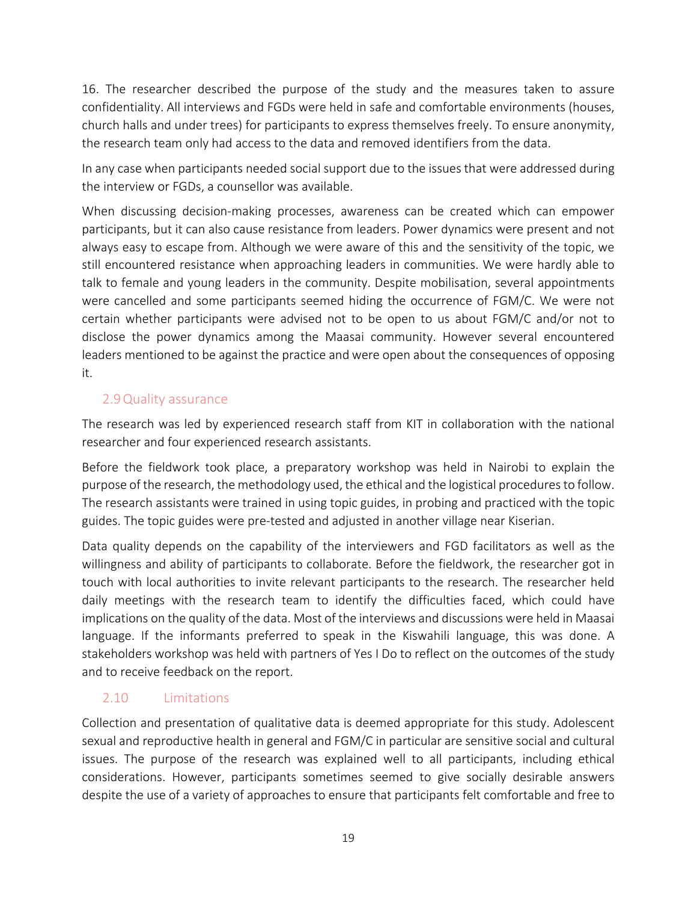16. The researcher described the purpose of the study and the measures taken to assure confidentiality. All interviews and FGDs were held in safe and comfortable environments (houses, church halls and under trees) for participants to express themselves freely. To ensure anonymity, the research team only had access to the data and removed identifiers from the data.

In any case when participants needed social support due to the issues that were addressed during the interview or FGDs, a counsellor was available.

When discussing decision-making processes, awareness can be created which can empower participants, but it can also cause resistance from leaders. Power dynamics were present and not always easy to escape from. Although we were aware of this and the sensitivity of the topic, we still encountered resistance when approaching leaders in communities. We were hardly able to talk to female and young leaders in the community. Despite mobilisation, several appointments were cancelled and some participants seemed hiding the occurrence of FGM/C. We were not certain whether participants were advised not to be open to us about FGM/C and/or not to disclose the power dynamics among the Maasai community. However several encountered leaders mentioned to be against the practice and were open about the consequences of opposing it.

#### <span id="page-18-0"></span>2.9Quality assurance

The research was led by experienced research staff from KIT in collaboration with the national researcher and four experienced research assistants.

Before the fieldwork took place, a preparatory workshop was held in Nairobi to explain the purpose of the research, the methodology used, the ethical and the logistical procedures to follow. The research assistants were trained in using topic guides, in probing and practiced with the topic guides. The topic guides were pre-tested and adjusted in another village near Kiserian.

Data quality depends on the capability of the interviewers and FGD facilitators as well as the willingness and ability of participants to collaborate. Before the fieldwork, the researcher got in touch with local authorities to invite relevant participants to the research. The researcher held daily meetings with the research team to identify the difficulties faced, which could have implications on the quality of the data. Most of the interviews and discussions were held in Maasai language. If the informants preferred to speak in the Kiswahili language, this was done. A stakeholders workshop was held with partners of Yes I Do to reflect on the outcomes of the study and to receive feedback on the report.

#### <span id="page-18-1"></span>2.10 Limitations

Collection and presentation of qualitative data is deemed appropriate for this study. Adolescent sexual and reproductive health in general and FGM/C in particular are sensitive social and cultural issues. The purpose of the research was explained well to all participants, including ethical considerations. However, participants sometimes seemed to give socially desirable answers despite the use of a variety of approaches to ensure that participants felt comfortable and free to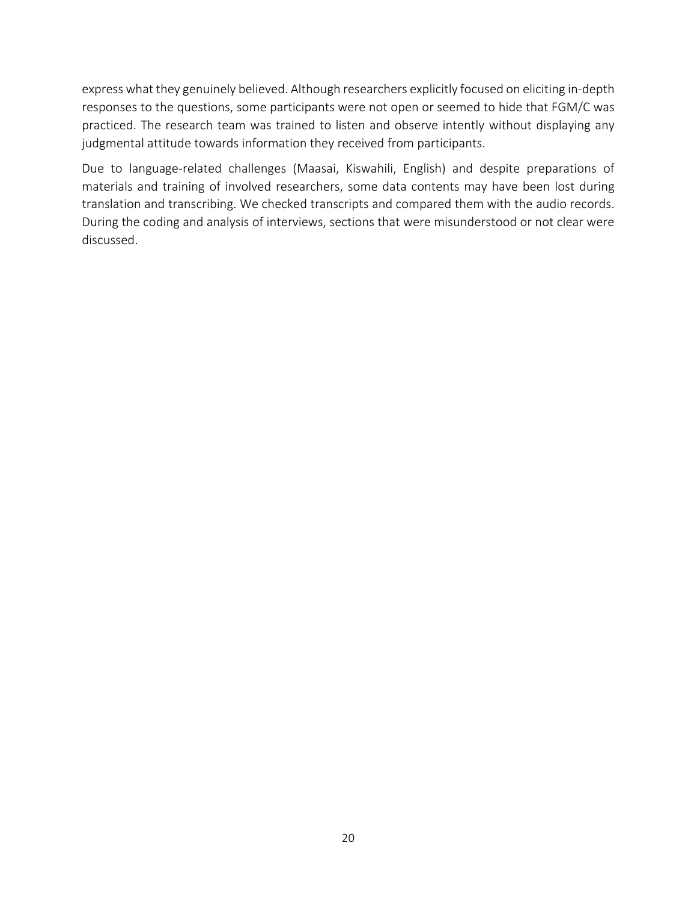express what they genuinely believed. Although researchers explicitly focused on eliciting in-depth responses to the questions, some participants were not open or seemed to hide that FGM/C was practiced. The research team was trained to listen and observe intently without displaying any judgmental attitude towards information they received from participants.

Due to language-related challenges (Maasai, Kiswahili, English) and despite preparations of materials and training of involved researchers, some data contents may have been lost during translation and transcribing. We checked transcripts and compared them with the audio records. During the coding and analysis of interviews, sections that were misunderstood or not clear were discussed.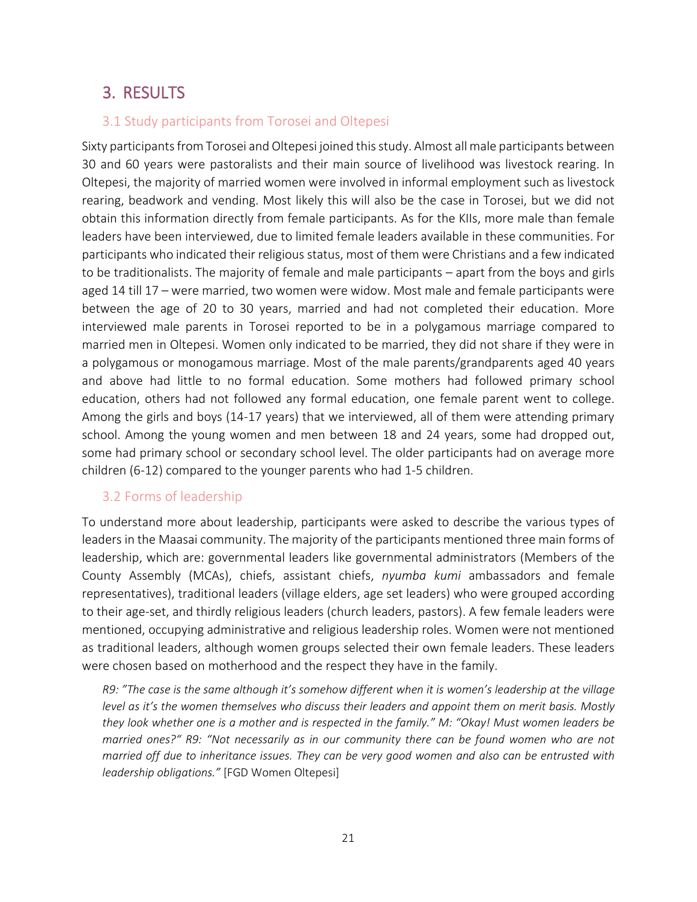## <span id="page-20-0"></span>3. RESULTS

#### <span id="page-20-1"></span>3.1 Study participants from Torosei and Oltepesi

Sixty participants from Torosei and Oltepesi joined this study. Almost all male participants between 30 and 60 years were pastoralists and their main source of livelihood was livestock rearing. In Oltepesi, the majority of married women were involved in informal employment such as livestock rearing, beadwork and vending. Most likely this will also be the case in Torosei, but we did not obtain this information directly from female participants. As for the KIIs, more male than female leaders have been interviewed, due to limited female leaders available in these communities. For participants who indicated their religious status, most of them were Christians and a few indicated to be traditionalists. The majority of female and male participants – apart from the boys and girls aged 14 till 17 – were married, two women were widow. Most male and female participants were between the age of 20 to 30 years, married and had not completed their education. More interviewed male parents in Torosei reported to be in a polygamous marriage compared to married men in Oltepesi. Women only indicated to be married, they did not share if they were in a polygamous or monogamous marriage. Most of the male parents/grandparents aged 40 years and above had little to no formal education. Some mothers had followed primary school education, others had not followed any formal education, one female parent went to college. Among the girls and boys (14-17 years) that we interviewed, all of them were attending primary school. Among the young women and men between 18 and 24 years, some had dropped out, some had primary school or secondary school level. The older participants had on average more children (6-12) compared to the younger parents who had 1-5 children.

#### <span id="page-20-2"></span>3.2 Forms of leadership

To understand more about leadership, participants were asked to describe the various types of leaders in the Maasai community. The majority of the participants mentioned three main forms of leadership, which are: governmental leaders like governmental administrators (Members of the County Assembly (MCAs), chiefs, assistant chiefs, *nyumba kumi* ambassadors and female representatives), traditional leaders (village elders, age set leaders) who were grouped according to their age-set, and thirdly religious leaders (church leaders, pastors). A few female leaders were mentioned, occupying administrative and religious leadership roles. Women were not mentioned as traditional leaders, although women groups selected their own female leaders. These leaders were chosen based on motherhood and the respect they have in the family.

*R9: "The case is the same although it's somehow different when it is women's leadership at the village level as it's the women themselves who discuss their leaders and appoint them on merit basis. Mostly they look whether one is a mother and is respected in the family." M: "Okay! Must women leaders be married ones?" R9: "Not necessarily as in our community there can be found women who are not married off due to inheritance issues. They can be very good women and also can be entrusted with leadership obligations."* [FGD Women Oltepesi]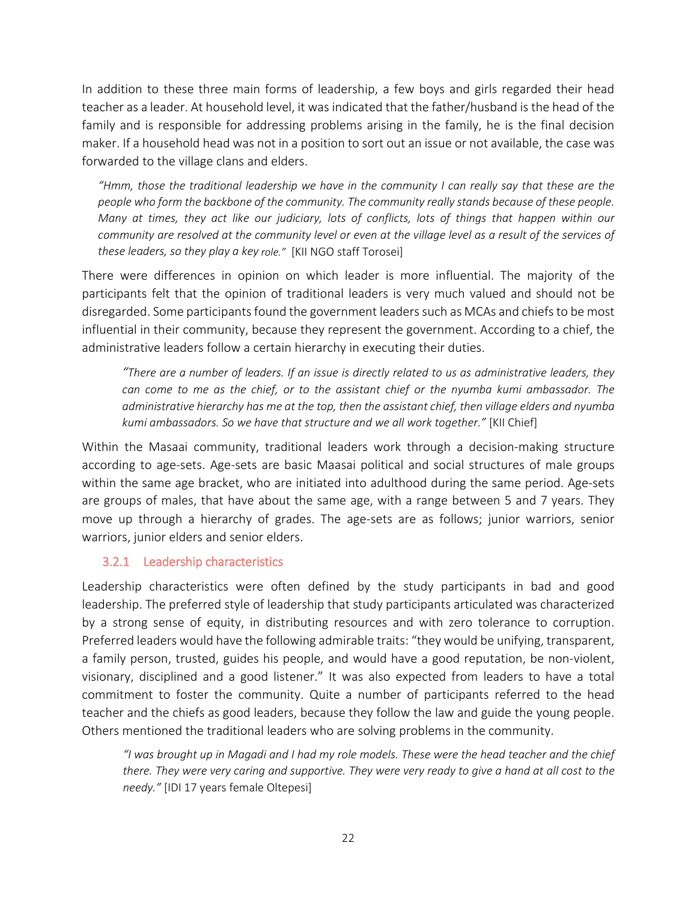In addition to these three main forms of leadership, a few boys and girls regarded their head teacher as a leader. At household level, it was indicated that the father/husband is the head of the family and is responsible for addressing problems arising in the family, he is the final decision maker. If a household head was not in a position to sort out an issue or not available, the case was forwarded to the village clans and elders.

*"Hmm, those the traditional leadership we have in the community I can really say that these are the people who form the backbone of the community. The community really stands because of these people. Many at times, they act like our judiciary, lots of conflicts, lots of things that happen within our community are resolved at the community level or even at the village level as a result of the services of these leaders, so they play a key role."* [KII NGO staff Torosei]

There were differences in opinion on which leader is more influential. The majority of the participants felt that the opinion of traditional leaders is very much valued and should not be disregarded. Some participants found the government leaders such as MCAs and chiefs to be most influential in their community, because they represent the government. According to a chief, the administrative leaders follow a certain hierarchy in executing their duties.

*"There are a number of leaders. If an issue is directly related to us as administrative leaders, they can come to me as the chief, or to the assistant chief or the nyumba kumi ambassador. The administrative hierarchy has me at the top, then the assistant chief, then village elders and nyumba kumi ambassadors. So we have that structure and we all work together."* [KII Chief]

Within the Masaai community, traditional leaders work through a decision-making structure according to age-sets. Age-sets are basic Maasai political and social structures of male groups within the same age bracket, who are initiated into adulthood during the same period. Age-sets are groups of males, that have about the same age, with a range between 5 and 7 years. They move up through a hierarchy of grades. The age-sets are as follows; junior warriors, senior warriors, junior elders and senior elders.

#### <span id="page-21-0"></span>3.2.1 Leadership characteristics

Leadership characteristics were often defined by the study participants in bad and good leadership. The preferred style of leadership that study participants articulated was characterized by a strong sense of equity, in distributing resources and with zero tolerance to corruption. Preferred leaders would have the following admirable traits: "they would be unifying, transparent, a family person, trusted, guides his people, and would have a good reputation, be non-violent, visionary, disciplined and a good listener." It was also expected from leaders to have a total commitment to foster the community. Quite a number of participants referred to the head teacher and the chiefs as good leaders, because they follow the law and guide the young people. Others mentioned the traditional leaders who are solving problems in the community.

*"I was brought up in Magadi and I had my role models. These were the head teacher and the chief there. They were very caring and supportive. They were very ready to give a hand at all cost to the needy."* [IDI 17 years female Oltepesi]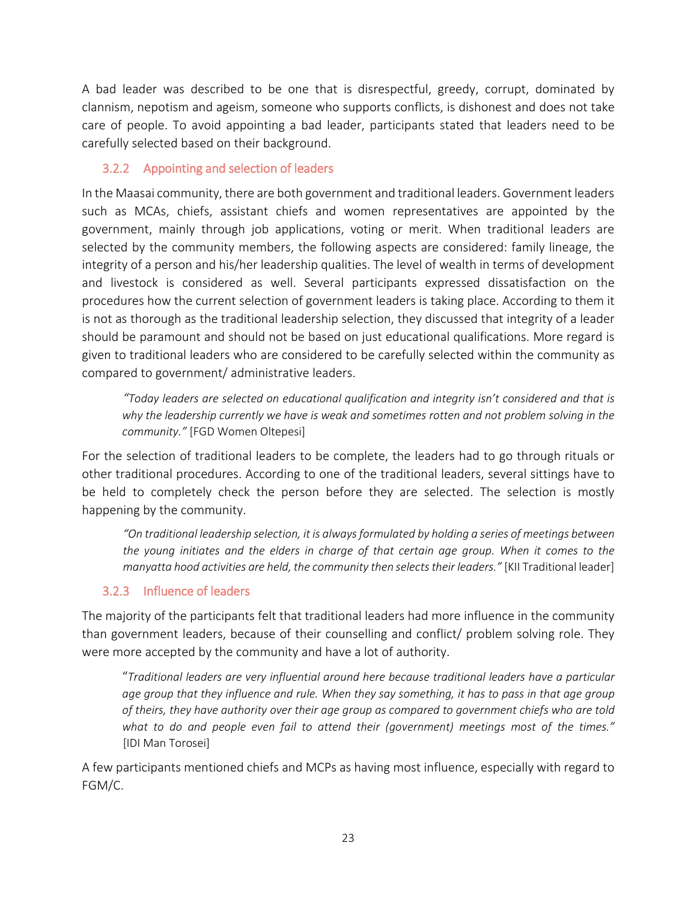A bad leader was described to be one that is disrespectful, greedy, corrupt, dominated by clannism, nepotism and ageism, someone who supports conflicts, is dishonest and does not take care of people. To avoid appointing a bad leader, participants stated that leaders need to be carefully selected based on their background.

#### <span id="page-22-0"></span>3.2.2 Appointing and selection of leaders

In the Maasai community, there are both government and traditional leaders. Government leaders such as MCAs, chiefs, assistant chiefs and women representatives are appointed by the government, mainly through job applications, voting or merit. When traditional leaders are selected by the community members, the following aspects are considered: family lineage, the integrity of a person and his/her leadership qualities. The level of wealth in terms of development and livestock is considered as well. Several participants expressed dissatisfaction on the procedures how the current selection of government leaders is taking place. According to them it is not as thorough as the traditional leadership selection, they discussed that integrity of a leader should be paramount and should not be based on just educational qualifications. More regard is given to traditional leaders who are considered to be carefully selected within the community as compared to government/ administrative leaders.

*"Today leaders are selected on educational qualification and integrity isn't considered and that is why the leadership currently we have is weak and sometimes rotten and not problem solving in the community."* [FGD Women Oltepesi]

For the selection of traditional leaders to be complete, the leaders had to go through rituals or other traditional procedures. According to one of the traditional leaders, several sittings have to be held to completely check the person before they are selected. The selection is mostly happening by the community.

*"On traditional leadership selection, it is always formulated by holding a series of meetings between the young initiates and the elders in charge of that certain age group. When it comes to the manyatta hood activities are held, the community then selects their leaders."* [KII Traditional leader]

#### <span id="page-22-1"></span>3.2.3 Influence of leaders

The majority of the participants felt that traditional leaders had more influence in the community than government leaders, because of their counselling and conflict/ problem solving role. They were more accepted by the community and have a lot of authority.

"*Traditional leaders are very influential around here because traditional leaders have a particular age group that they influence and rule. When they say something, it has to pass in that age group of theirs, they have authority over their age group as compared to government chiefs who are told what to do and people even fail to attend their (government) meetings most of the times."* [IDI Man Torosei]

A few participants mentioned chiefs and MCPs as having most influence, especially with regard to FGM/C.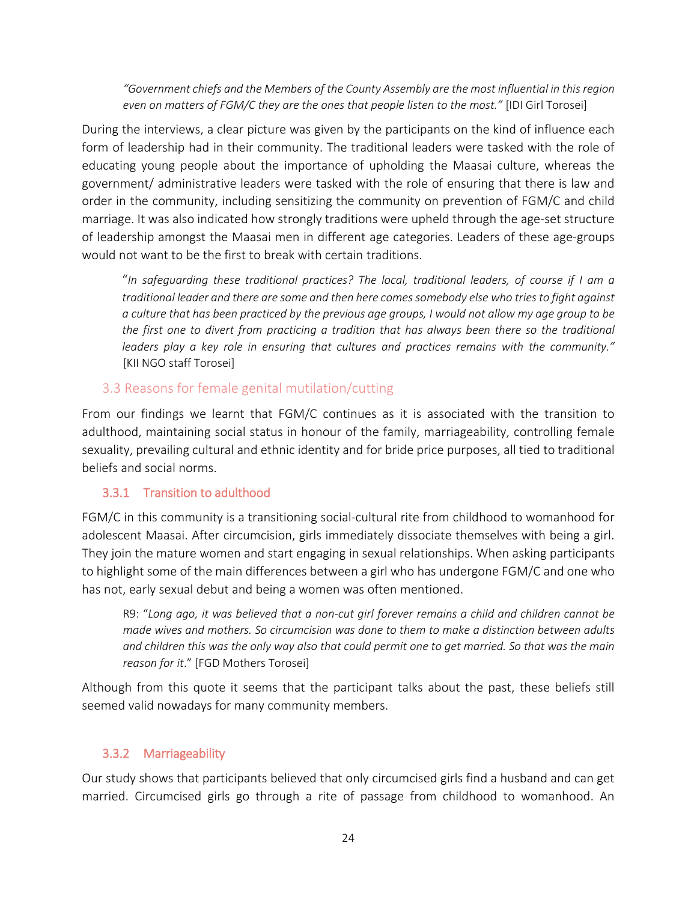*"Government chiefs and the Members of the County Assembly are the most influential in this region even on matters of FGM/C they are the ones that people listen to the most."* [IDI Girl Torosei]

During the interviews, a clear picture was given by the participants on the kind of influence each form of leadership had in their community. The traditional leaders were tasked with the role of educating young people about the importance of upholding the Maasai culture, whereas the government/ administrative leaders were tasked with the role of ensuring that there is law and order in the community, including sensitizing the community on prevention of FGM/C and child marriage. It was also indicated how strongly traditions were upheld through the age-set structure of leadership amongst the Maasai men in different age categories. Leaders of these age-groups would not want to be the first to break with certain traditions.

"*In safeguarding these traditional practices? The local, traditional leaders, of course if I am a traditional leader and there are some and then here comes somebody else who tries to fight against a culture that has been practiced by the previous age groups, I would not allow my age group to be the first one to divert from practicing a tradition that has always been there so the traditional leaders play a key role in ensuring that cultures and practices remains with the community."* [KII NGO staff Torosei]

#### <span id="page-23-0"></span>3.3 Reasons for female genital mutilation/cutting

From our findings we learnt that FGM/C continues as it is associated with the transition to adulthood, maintaining social status in honour of the family, marriageability, controlling female sexuality, prevailing cultural and ethnic identity and for bride price purposes, all tied to traditional beliefs and social norms.

#### <span id="page-23-1"></span>3.3.1 Transition to adulthood

FGM/C in this community is a transitioning social-cultural rite from childhood to womanhood for adolescent Maasai. After circumcision, girls immediately dissociate themselves with being a girl. They join the mature women and start engaging in sexual relationships. When asking participants to highlight some of the main differences between a girl who has undergone FGM/C and one who has not, early sexual debut and being a women was often mentioned.

R9: "*Long ago, it was believed that a non-cut girl forever remains a child and children cannot be made wives and mothers. So circumcision was done to them to make a distinction between adults and children this was the only way also that could permit one to get married. So that was the main reason for it*." [FGD Mothers Torosei]

Although from this quote it seems that the participant talks about the past, these beliefs still seemed valid nowadays for many community members.

#### <span id="page-23-2"></span>3.3.2 Marriageability

Our study shows that participants believed that only circumcised girls find a husband and can get married. Circumcised girls go through a rite of passage from childhood to womanhood. An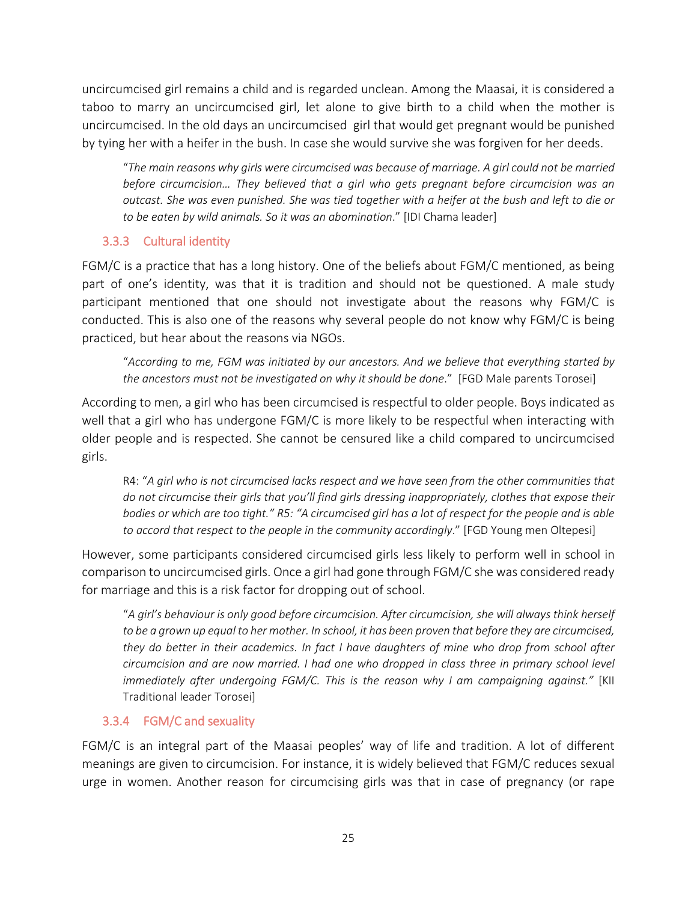uncircumcised girl remains a child and is regarded unclean. Among the Maasai, it is considered a taboo to marry an uncircumcised girl, let alone to give birth to a child when the mother is uncircumcised. In the old days an uncircumcised girl that would get pregnant would be punished by tying her with a heifer in the bush. In case she would survive she was forgiven for her deeds.

"*The main reasons why girls were circumcised was because of marriage. A girl could not be married before circumcision… They believed that a girl who gets pregnant before circumcision was an outcast. She was even punished. She was tied together with a heifer at the bush and left to die or to be eaten by wild animals. So it was an abomination*." [IDI Chama leader]

#### <span id="page-24-0"></span>3.3.3 Cultural identity

FGM/C is a practice that has a long history. One of the beliefs about FGM/C mentioned, as being part of one's identity, was that it is tradition and should not be questioned. A male study participant mentioned that one should not investigate about the reasons why FGM/C is conducted. This is also one of the reasons why several people do not know why FGM/C is being practiced, but hear about the reasons via NGOs.

"*According to me, FGM was initiated by our ancestors. And we believe that everything started by the ancestors must not be investigated on why it should be done*." [FGD Male parents Torosei]

According to men, a girl who has been circumcised is respectful to older people. Boys indicated as well that a girl who has undergone FGM/C is more likely to be respectful when interacting with older people and is respected. She cannot be censured like a child compared to uncircumcised girls.

R4: "*A girl who is not circumcised lacks respect and we have seen from the other communities that do not circumcise their girls that you'll find girls dressing inappropriately, clothes that expose their bodies or which are too tight." R5: "A circumcised girl has a lot of respect for the people and is able to accord that respect to the people in the community accordingly*." [FGD Young men Oltepesi]

However, some participants considered circumcised girls less likely to perform well in school in comparison to uncircumcised girls. Once a girl had gone through FGM/C she was considered ready for marriage and this is a risk factor for dropping out of school.

"*A girl's behaviour is only good before circumcision. After circumcision, she will always think herself to be a grown up equal to her mother. In school, it has been proven that before they are circumcised, they do better in their academics. In fact I have daughters of mine who drop from school after circumcision and are now married. I had one who dropped in class three in primary school level immediately after undergoing FGM/C. This is the reason why I am campaigning against."* [KII Traditional leader Torosei]

#### <span id="page-24-1"></span>3.3.4 FGM/C and sexuality

FGM/C is an integral part of the Maasai peoples' way of life and tradition. A lot of different meanings are given to circumcision. For instance, it is widely believed that FGM/C reduces sexual urge in women. Another reason for circumcising girls was that in case of pregnancy (or rape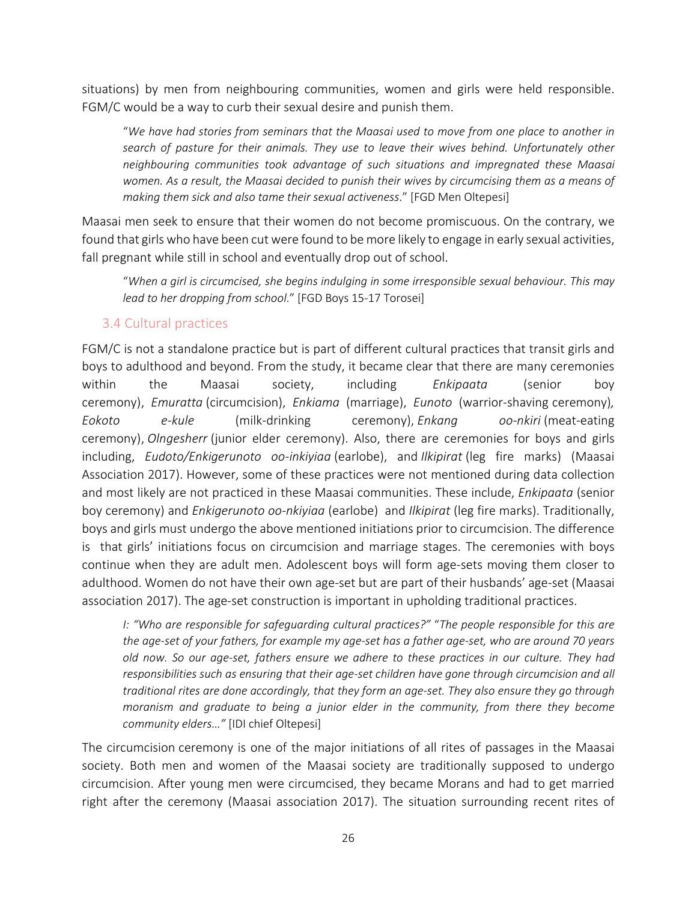situations) by men from neighbouring communities, women and girls were held responsible. FGM/C would be a way to curb their sexual desire and punish them.

"*We have had stories from seminars that the Maasai used to move from one place to another in search of pasture for their animals. They use to leave their wives behind. Unfortunately other neighbouring communities took advantage of such situations and impregnated these Maasai women. As a result, the Maasai decided to punish their wives by circumcising them as a means of making them sick and also tame their sexual activeness*." [FGD Men Oltepesi]

Maasai men seek to ensure that their women do not become promiscuous. On the contrary, we found that girls who have been cut were found to be more likely to engage in early sexual activities, fall pregnant while still in school and eventually drop out of school.

"*When a girl is circumcised, she begins indulging in some irresponsible sexual behaviour. This may lead to her dropping from school*." [FGD Boys 15-17 Torosei]

#### <span id="page-25-0"></span>3.4 Cultural practices

FGM/C is not a standalone practice but is part of different cultural practices that transit girls and boys to adulthood and beyond. From the study, it became clear that there are many ceremonies within the Maasai society, including *Enkipaata* (senior boy ceremony), *Emuratta* (circumcision), *Enkiama* (marriage), *Eunoto* (warrior-shaving ceremony)*, Eokoto e-kule* (milk-drinking ceremony), *Enkang oo-nkiri* (meat-eating ceremony), *Olngesherr* (junior elder ceremony). Also, there are ceremonies for boys and girls including, *Eudoto/Enkigerunoto oo-inkiyiaa* (earlobe), and *Ilkipirat* (leg fire marks) (Maasai Association 2017). However, some of these practices were not mentioned during data collection and most likely are not practiced in these Maasai communities. These include, *Enkipaata* (senior boy ceremony) and *Enkigerunoto oo-nkiyiaa* (earlobe) and *Ilkipirat* (leg fire marks). Traditionally, boys and girls must undergo the above mentioned initiations prior to circumcision. The difference is that girls' initiations focus on circumcision and marriage stages. The ceremonies with boys continue when they are adult men. Adolescent boys will form age-sets moving them closer to adulthood. Women do not have their own age-set but are part of their husbands' age-set (Maasai association 2017). The age-set construction is important in upholding traditional practices.

*I: "Who are responsible for safeguarding cultural practices?"* "*The people responsible for this are the age-set of your fathers, for example my age-set has a father age-set, who are around 70 years old now. So our age-set, fathers ensure we adhere to these practices in our culture. They had responsibilities such as ensuring that their age-set children have gone through circumcision and all traditional rites are done accordingly, that they form an age-set. They also ensure they go through moranism and graduate to being a junior elder in the community, from there they become community elders…"* [IDI chief Oltepesi]

The circumcision ceremony is one of the major initiations of all rites of passages in the Maasai society. Both men and women of the Maasai society are traditionally supposed to undergo circumcision. After young men were circumcised, they became Morans and had to get married right after the ceremony (Maasai association 2017). The situation surrounding recent rites of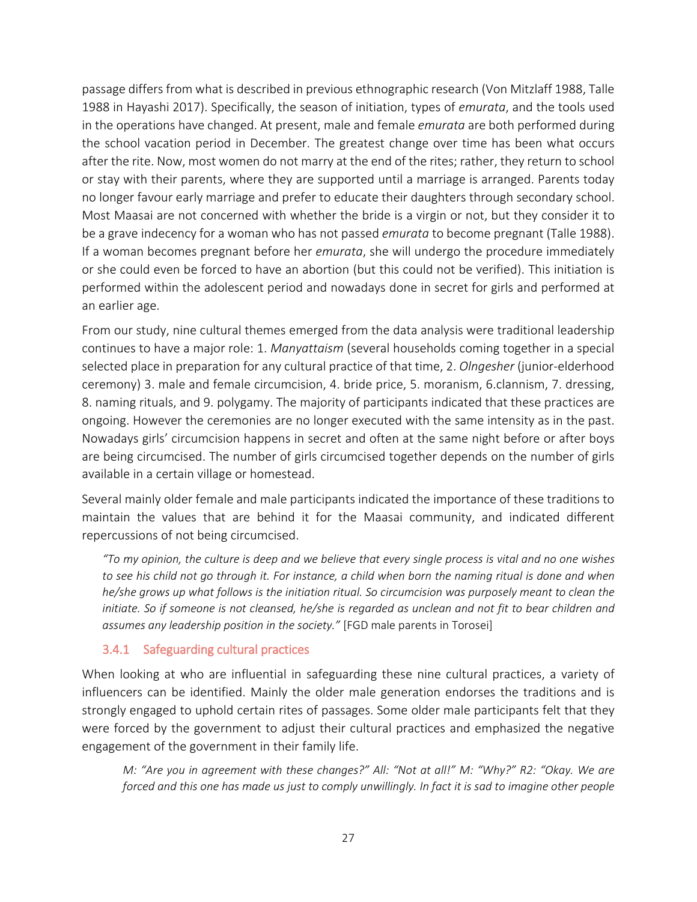passage differs from what is described in previous ethnographic research (Von Mitzlaff 1988, Talle 1988 in Hayashi 2017). Specifically, the season of initiation, types of *emurata*, and the tools used in the operations have changed. At present, male and female *emurata* are both performed during the school vacation period in December. The greatest change over time has been what occurs after the rite. Now, most women do not marry at the end of the rites; rather, they return to school or stay with their parents, where they are supported until a marriage is arranged. Parents today no longer favour early marriage and prefer to educate their daughters through secondary school. Most Maasai are not concerned with whether the bride is a virgin or not, but they consider it to be a grave indecency for a woman who has not passed *emurata* to become pregnant (Talle 1988). If a woman becomes pregnant before her *emurata*, she will undergo the procedure immediately or she could even be forced to have an abortion (but this could not be verified). This initiation is performed within the adolescent period and nowadays done in secret for girls and performed at an earlier age.

From our study, nine cultural themes emerged from the data analysis were traditional leadership continues to have a major role: 1. *Manyattaism* (several households coming together in a special selected place in preparation for any cultural practice of that time, 2. *Olngesher* (junior-elderhood ceremony) 3. male and female circumcision, 4. bride price, 5. moranism, 6.clannism, 7. dressing, 8. naming rituals, and 9. polygamy. The majority of participants indicated that these practices are ongoing. However the ceremonies are no longer executed with the same intensity as in the past. Nowadays girls' circumcision happens in secret and often at the same night before or after boys are being circumcised. The number of girls circumcised together depends on the number of girls available in a certain village or homestead.

Several mainly older female and male participants indicated the importance of these traditions to maintain the values that are behind it for the Maasai community, and indicated different repercussions of not being circumcised.

*"To my opinion, the culture is deep and we believe that every single process is vital and no one wishes* to see his child not go through it. For instance, a child when born the naming ritual is done and when *he/she grows up what follows is the initiation ritual. So circumcision was purposely meant to clean the initiate. So if someone is not cleansed, he/she is regarded as unclean and not fit to bear children and assumes any leadership position in the society."* [FGD male parents in Torosei]

#### <span id="page-26-0"></span>3.4.1 Safeguarding cultural practices

When looking at who are influential in safeguarding these nine cultural practices, a variety of influencers can be identified. Mainly the older male generation endorses the traditions and is strongly engaged to uphold certain rites of passages. Some older male participants felt that they were forced by the government to adjust their cultural practices and emphasized the negative engagement of the government in their family life.

*M: "Are you in agreement with these changes?" All: "Not at all!" M: "Why?" R2: "Okay. We are forced and this one has made us just to comply unwillingly. In fact it is sad to imagine other people*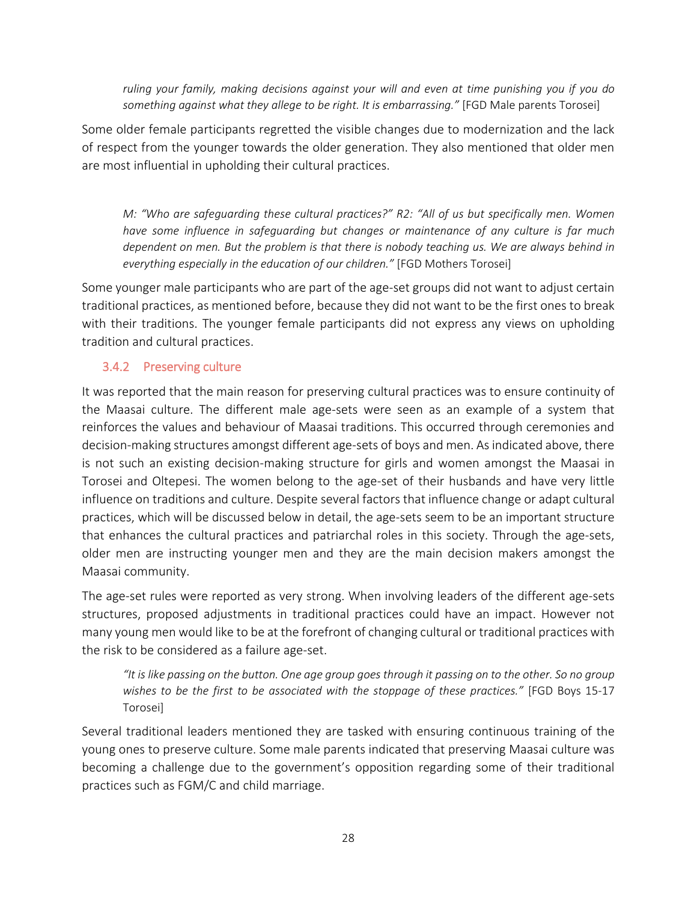*ruling your family, making decisions against your will and even at time punishing you if you do something against what they allege to be right. It is embarrassing."* [FGD Male parents Torosei]

Some older female participants regretted the visible changes due to modernization and the lack of respect from the younger towards the older generation. They also mentioned that older men are most influential in upholding their cultural practices.

*M: "Who are safeguarding these cultural practices?" R2: "All of us but specifically men. Women have some influence in safeguarding but changes or maintenance of any culture is far much dependent on men. But the problem is that there is nobody teaching us. We are always behind in everything especially in the education of our children."* [FGD Mothers Torosei]

Some younger male participants who are part of the age-set groups did not want to adjust certain traditional practices, as mentioned before, because they did not want to be the first ones to break with their traditions. The younger female participants did not express any views on upholding tradition and cultural practices.

#### <span id="page-27-0"></span>3.4.2 Preserving culture

It was reported that the main reason for preserving cultural practices was to ensure continuity of the Maasai culture. The different male age-sets were seen as an example of a system that reinforces the values and behaviour of Maasai traditions. This occurred through ceremonies and decision-making structures amongst different age-sets of boys and men. As indicated above, there is not such an existing decision-making structure for girls and women amongst the Maasai in Torosei and Oltepesi. The women belong to the age-set of their husbands and have very little influence on traditions and culture. Despite several factors that influence change or adapt cultural practices, which will be discussed below in detail, the age-sets seem to be an important structure that enhances the cultural practices and patriarchal roles in this society. Through the age-sets, older men are instructing younger men and they are the main decision makers amongst the Maasai community.

The age-set rules were reported as very strong. When involving leaders of the different age-sets structures, proposed adjustments in traditional practices could have an impact. However not many young men would like to be at the forefront of changing cultural or traditional practices with the risk to be considered as a failure age-set.

*"It is like passing on the button. One age group goes through it passing on to the other. So no group wishes to be the first to be associated with the stoppage of these practices."* [FGD Boys 15-17 Torosei]

Several traditional leaders mentioned they are tasked with ensuring continuous training of the young ones to preserve culture. Some male parents indicated that preserving Maasai culture was becoming a challenge due to the government's opposition regarding some of their traditional practices such as FGM/C and child marriage.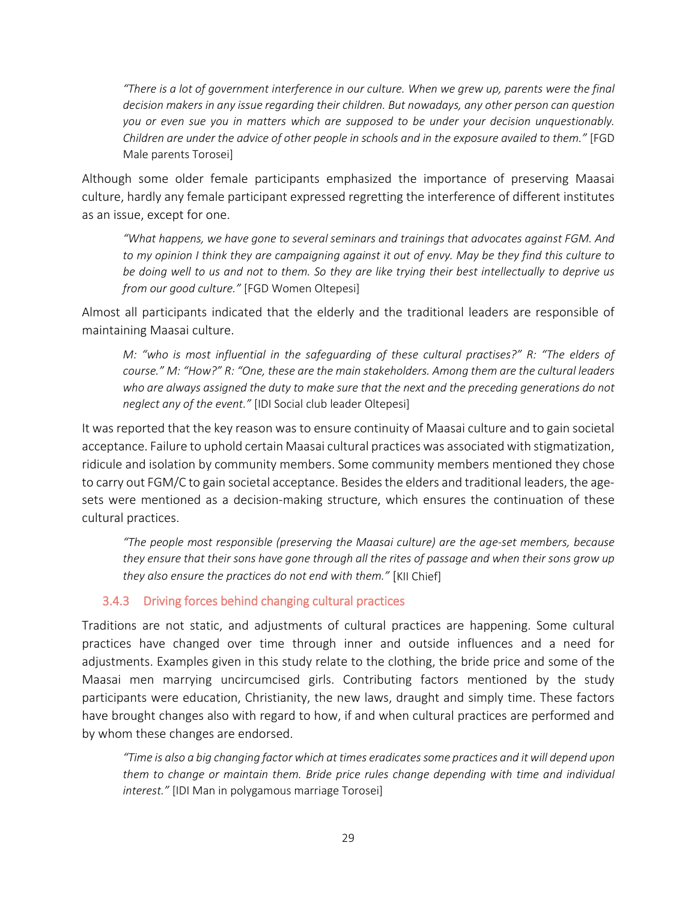*"There is a lot of government interference in our culture. When we grew up, parents were the final decision makers in any issue regarding their children. But nowadays, any other person can question you or even sue you in matters which are supposed to be under your decision unquestionably. Children are under the advice of other people in schools and in the exposure availed to them."* [FGD Male parents Torosei]

Although some older female participants emphasized the importance of preserving Maasai culture, hardly any female participant expressed regretting the interference of different institutes as an issue, except for one.

*"What happens, we have gone to several seminars and trainings that advocates against FGM. And to my opinion I think they are campaigning against it out of envy. May be they find this culture to be doing well to us and not to them. So they are like trying their best intellectually to deprive us from our good culture."* [FGD Women Oltepesi]

Almost all participants indicated that the elderly and the traditional leaders are responsible of maintaining Maasai culture.

*M: "who is most influential in the safeguarding of these cultural practises?" R: "The elders of course." M: "How?" R: "One, these are the main stakeholders. Among them are the cultural leaders who are always assigned the duty to make sure that the next and the preceding generations do not neglect any of the event."* [IDI Social club leader Oltepesi]

It was reported that the key reason was to ensure continuity of Maasai culture and to gain societal acceptance. Failure to uphold certain Maasai cultural practices was associated with stigmatization, ridicule and isolation by community members. Some community members mentioned they chose to carry out FGM/C to gain societal acceptance. Besides the elders and traditional leaders, the agesets were mentioned as a decision-making structure, which ensures the continuation of these cultural practices.

*"The people most responsible (preserving the Maasai culture) are the age-set members, because they ensure that their sons have gone through all the rites of passage and when their sons grow up they also ensure the practices do not end with them."* [KII Chief]

#### <span id="page-28-0"></span>3.4.3 Driving forces behind changing cultural practices

Traditions are not static, and adjustments of cultural practices are happening. Some cultural practices have changed over time through inner and outside influences and a need for adjustments. Examples given in this study relate to the clothing, the bride price and some of the Maasai men marrying uncircumcised girls. Contributing factors mentioned by the study participants were education, Christianity, the new laws, draught and simply time. These factors have brought changes also with regard to how, if and when cultural practices are performed and by whom these changes are endorsed.

*"Time is also a big changing factor which at times eradicatessome practices and it will depend upon them to change or maintain them. Bride price rules change depending with time and individual interest."* [IDI Man in polygamous marriage Torosei]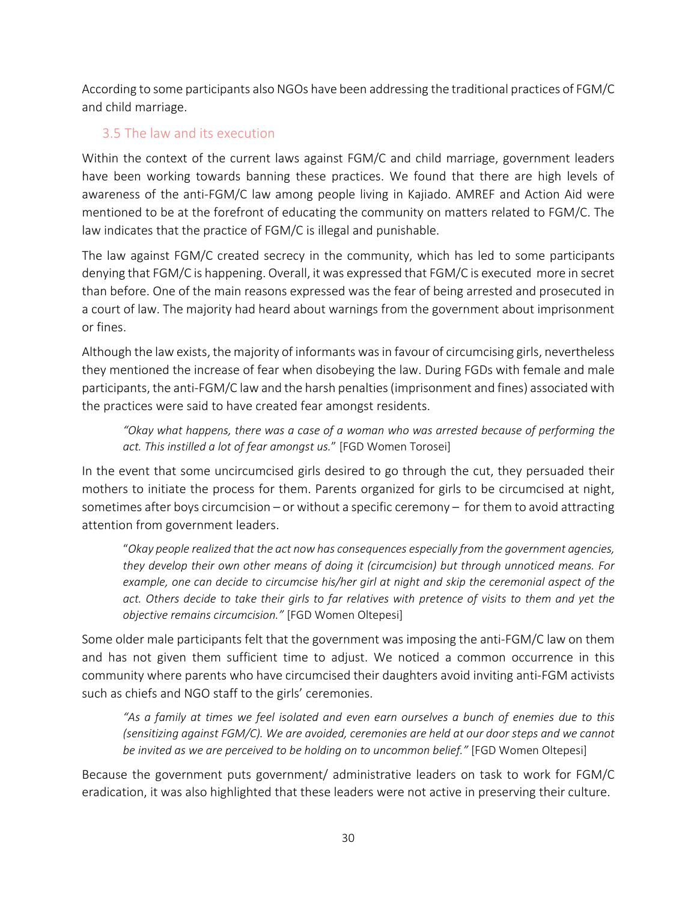According to some participants also NGOs have been addressing the traditional practices of FGM/C and child marriage.

#### <span id="page-29-0"></span>3.5 The law and its execution

Within the context of the current laws against FGM/C and child marriage, government leaders have been working towards banning these practices. We found that there are high levels of awareness of the anti-FGM/C law among people living in Kajiado. AMREF and Action Aid were mentioned to be at the forefront of educating the community on matters related to FGM/C. The law indicates that the practice of FGM/C is illegal and punishable.

The law against FGM/C created secrecy in the community, which has led to some participants denying that FGM/C is happening. Overall, it was expressed that FGM/C is executed more in secret than before. One of the main reasons expressed was the fear of being arrested and prosecuted in a court of law. The majority had heard about warnings from the government about imprisonment or fines.

Although the law exists, the majority of informants wasin favour of circumcising girls, nevertheless they mentioned the increase of fear when disobeying the law. During FGDs with female and male participants, the anti-FGM/C law and the harsh penalties (imprisonment and fines) associated with the practices were said to have created fear amongst residents.

*"Okay what happens, there was a case of a woman who was arrested because of performing the act. This instilled a lot of fear amongst us.*" [FGD Women Torosei]

In the event that some uncircumcised girls desired to go through the cut, they persuaded their mothers to initiate the process for them. Parents organized for girls to be circumcised at night, sometimes after boys circumcision – or without a specific ceremony – for them to avoid attracting attention from government leaders.

"*Okay people realized that the act now has consequences especially from the government agencies, they develop their own other means of doing it (circumcision) but through unnoticed means. For example, one can decide to circumcise his/her girl at night and skip the ceremonial aspect of the act. Others decide to take their girls to far relatives with pretence of visits to them and yet the objective remains circumcision."* [FGD Women Oltepesi]

Some older male participants felt that the government was imposing the anti-FGM/C law on them and has not given them sufficient time to adjust. We noticed a common occurrence in this community where parents who have circumcised their daughters avoid inviting anti-FGM activists such as chiefs and NGO staff to the girls' ceremonies.

*"As a family at times we feel isolated and even earn ourselves a bunch of enemies due to this (sensitizing against FGM/C). We are avoided, ceremonies are held at our door steps and we cannot be invited as we are perceived to be holding on to uncommon belief."* [FGD Women Oltepesi]

Because the government puts government/ administrative leaders on task to work for FGM/C eradication, it was also highlighted that these leaders were not active in preserving their culture.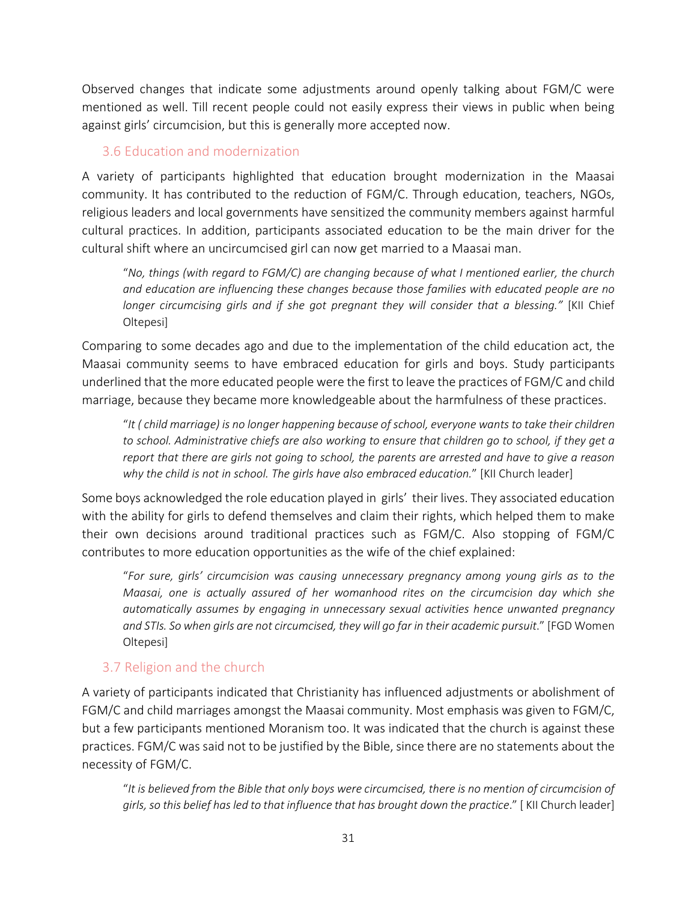Observed changes that indicate some adjustments around openly talking about FGM/C were mentioned as well. Till recent people could not easily express their views in public when being against girls' circumcision, but this is generally more accepted now.

#### <span id="page-30-0"></span>3.6 Education and modernization

A variety of participants highlighted that education brought modernization in the Maasai community. It has contributed to the reduction of FGM/C. Through education, teachers, NGOs, religious leaders and local governments have sensitized the community members against harmful cultural practices. In addition, participants associated education to be the main driver for the cultural shift where an uncircumcised girl can now get married to a Maasai man.

"*No, things (with regard to FGM/C) are changing because of what I mentioned earlier, the church and education are influencing these changes because those families with educated people are no longer circumcising girls and if she got pregnant they will consider that a blessing."* [KII Chief Oltepesi]

Comparing to some decades ago and due to the implementation of the child education act, the Maasai community seems to have embraced education for girls and boys. Study participants underlined that the more educated people were the first to leave the practices of FGM/C and child marriage, because they became more knowledgeable about the harmfulness of these practices.

"*It ( child marriage) is no longer happening because of school, everyone wants to take their children to school. Administrative chiefs are also working to ensure that children go to school, if they get a report that there are girls not going to school, the parents are arrested and have to give a reason why the child is not in school. The girls have also embraced education.*" [KII Church leader]

Some boys acknowledged the role education played in girls' their lives. They associated education with the ability for girls to defend themselves and claim their rights, which helped them to make their own decisions around traditional practices such as FGM/C. Also stopping of FGM/C contributes to more education opportunities as the wife of the chief explained:

"*For sure, girls' circumcision was causing unnecessary pregnancy among young girls as to the Maasai, one is actually assured of her womanhood rites on the circumcision day which she automatically assumes by engaging in unnecessary sexual activities hence unwanted pregnancy and STIs. So when girls are not circumcised, they will go far in their academic pursuit*." [FGD Women Oltepesi]

#### <span id="page-30-1"></span>3.7 Religion and the church

A variety of participants indicated that Christianity has influenced adjustments or abolishment of FGM/C and child marriages amongst the Maasai community. Most emphasis was given to FGM/C, but a few participants mentioned Moranism too. It was indicated that the church is against these practices. FGM/C was said not to be justified by the Bible, since there are no statements about the necessity of FGM/C.

"*It is believed from the Bible that only boys were circumcised, there is no mention of circumcision of girls, so this belief has led to that influence that has brought down the practice*." [ KII Church leader]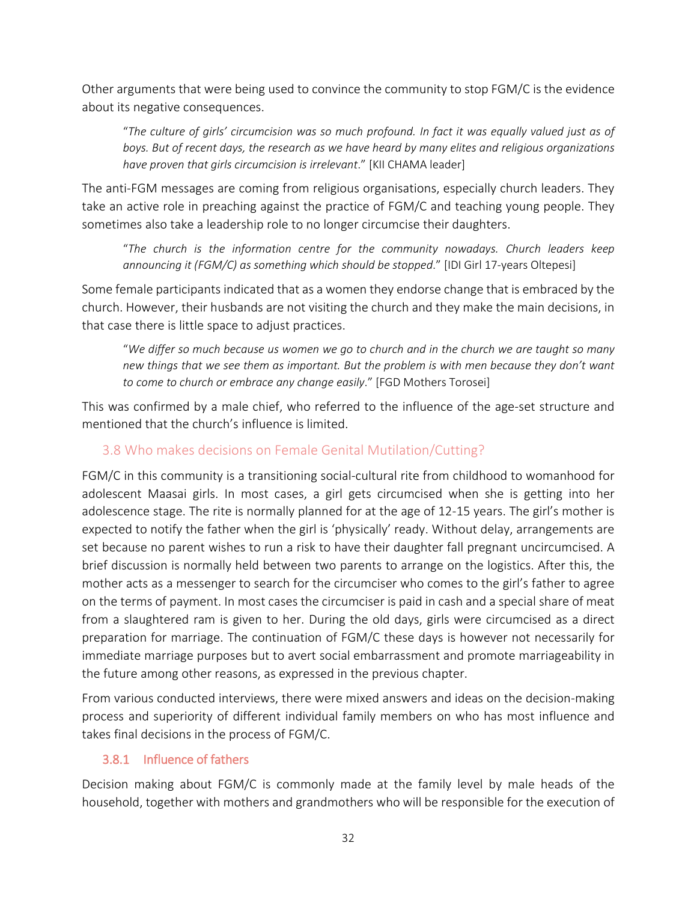Other arguments that were being used to convince the community to stop FGM/C is the evidence about its negative consequences.

"*The culture of girls' circumcision was so much profound. In fact it was equally valued just as of boys. But of recent days, the research as we have heard by many elites and religious organizations have proven that girls circumcision is irrelevant*." [KII CHAMA leader]

The anti-FGM messages are coming from religious organisations, especially church leaders. They take an active role in preaching against the practice of FGM/C and teaching young people. They sometimes also take a leadership role to no longer circumcise their daughters.

"*The church is the information centre for the community nowadays. Church leaders keep announcing it (FGM/C) as something which should be stopped*." [IDI Girl 17-years Oltepesi]

Some female participants indicated that as a women they endorse change that is embraced by the church. However, their husbands are not visiting the church and they make the main decisions, in that case there is little space to adjust practices.

"*We differ so much because us women we go to church and in the church we are taught so many new things that we see them as important. But the problem is with men because they don't want to come to church or embrace any change easily*." [FGD Mothers Torosei]

This was confirmed by a male chief, who referred to the influence of the age-set structure and mentioned that the church's influence is limited.

#### <span id="page-31-0"></span>3.8 Who makes decisions on Female Genital Mutilation/Cutting?

FGM/C in this community is a transitioning social-cultural rite from childhood to womanhood for adolescent Maasai girls. In most cases, a girl gets circumcised when she is getting into her adolescence stage. The rite is normally planned for at the age of 12-15 years. The girl's mother is expected to notify the father when the girl is 'physically' ready. Without delay, arrangements are set because no parent wishes to run a risk to have their daughter fall pregnant uncircumcised. A brief discussion is normally held between two parents to arrange on the logistics. After this, the mother acts as a messenger to search for the circumciser who comes to the girl's father to agree on the terms of payment. In most cases the circumciser is paid in cash and a special share of meat from a slaughtered ram is given to her. During the old days, girls were circumcised as a direct preparation for marriage. The continuation of FGM/C these days is however not necessarily for immediate marriage purposes but to avert social embarrassment and promote marriageability in the future among other reasons, as expressed in the previous chapter.

From various conducted interviews, there were mixed answers and ideas on the decision-making process and superiority of different individual family members on who has most influence and takes final decisions in the process of FGM/C.

#### <span id="page-31-1"></span>3.8.1 Influence of fathers

Decision making about FGM/C is commonly made at the family level by male heads of the household, together with mothers and grandmothers who will be responsible for the execution of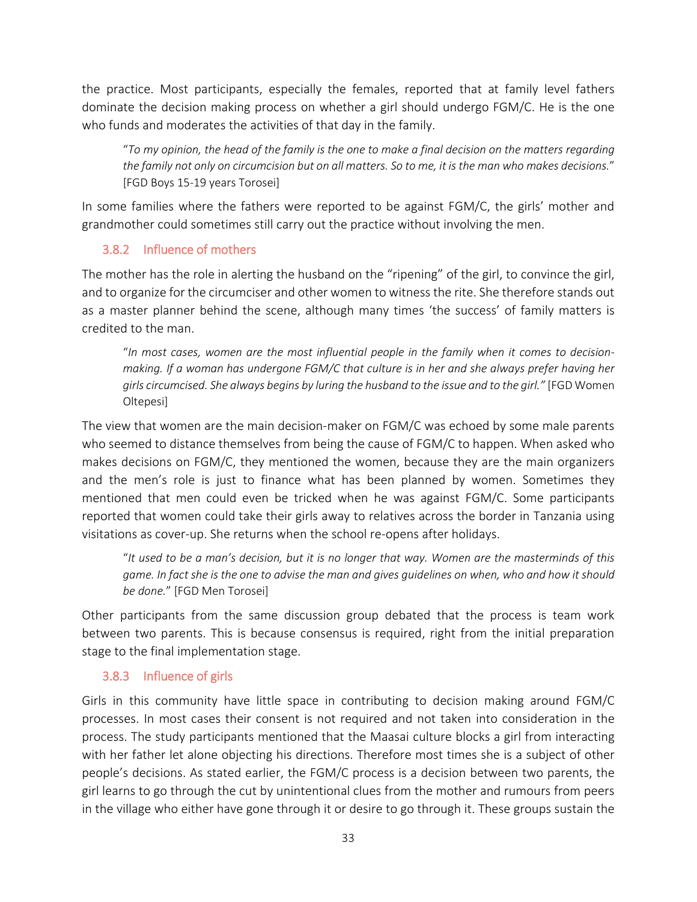the practice. Most participants, especially the females, reported that at family level fathers dominate the decision making process on whether a girl should undergo FGM/C. He is the one who funds and moderates the activities of that day in the family.

"*To my opinion, the head of the family is the one to make a final decision on the matters regarding the family not only on circumcision but on all matters. So to me, it is the man who makes decisions.*" [FGD Boys 15-19 years Torosei]

In some families where the fathers were reported to be against FGM/C, the girls' mother and grandmother could sometimes still carry out the practice without involving the men.

#### <span id="page-32-0"></span>3.8.2 Influence of mothers

The mother has the role in alerting the husband on the "ripening" of the girl, to convince the girl, and to organize for the circumciser and other women to witness the rite. She therefore stands out as a master planner behind the scene, although many times 'the success' of family matters is credited to the man.

"*In most cases, women are the most influential people in the family when it comes to decisionmaking. If a woman has undergone FGM/C that culture is in her and she always prefer having her girls circumcised. She always begins by luring the husband to the issue and to the girl."* [FGD Women Oltepesi]

The view that women are the main decision-maker on FGM/C was echoed by some male parents who seemed to distance themselves from being the cause of FGM/C to happen. When asked who makes decisions on FGM/C, they mentioned the women, because they are the main organizers and the men's role is just to finance what has been planned by women. Sometimes they mentioned that men could even be tricked when he was against FGM/C. Some participants reported that women could take their girls away to relatives across the border in Tanzania using visitations as cover-up. She returns when the school re-opens after holidays.

"*It used to be a man's decision, but it is no longer that way. Women are the masterminds of this game. In fact she is the one to advise the man and gives guidelines on when, who and how it should be done.*" [FGD Men Torosei]

Other participants from the same discussion group debated that the process is team work between two parents. This is because consensus is required, right from the initial preparation stage to the final implementation stage.

#### <span id="page-32-1"></span>3.8.3 Influence of girls

Girls in this community have little space in contributing to decision making around FGM/C processes. In most cases their consent is not required and not taken into consideration in the process. The study participants mentioned that the Maasai culture blocks a girl from interacting with her father let alone objecting his directions. Therefore most times she is a subject of other people's decisions. As stated earlier, the FGM/C process is a decision between two parents, the girl learns to go through the cut by unintentional clues from the mother and rumours from peers in the village who either have gone through it or desire to go through it. These groups sustain the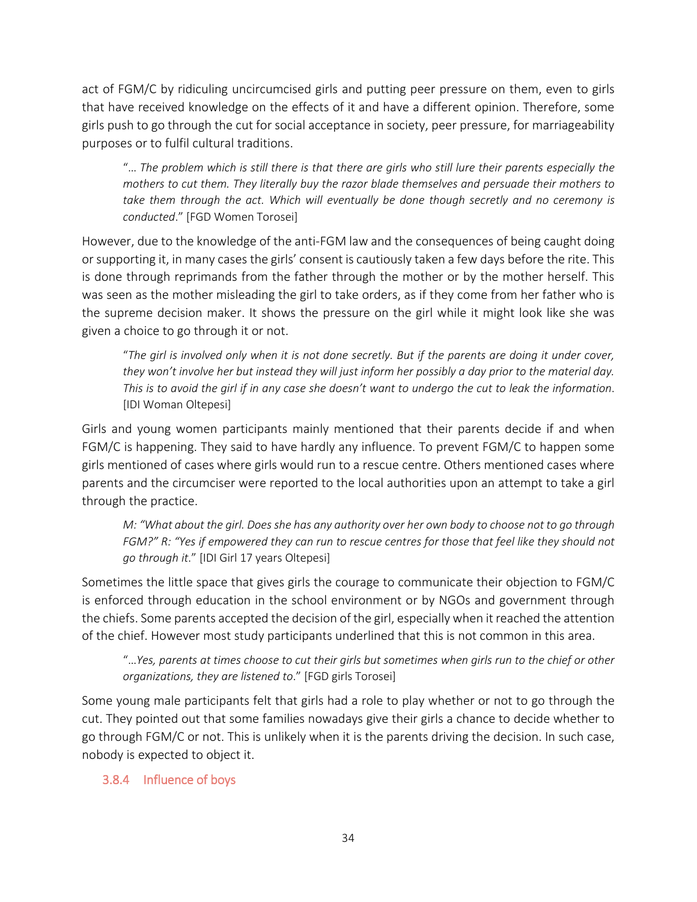act of FGM/C by ridiculing uncircumcised girls and putting peer pressure on them, even to girls that have received knowledge on the effects of it and have a different opinion. Therefore, some girls push to go through the cut for social acceptance in society, peer pressure, for marriageability purposes or to fulfil cultural traditions.

"… *The problem which is still there is that there are girls who still lure their parents especially the mothers to cut them. They literally buy the razor blade themselves and persuade their mothers to*  take them through the act. Which will eventually be done though secretly and no ceremony is *conducted*." [FGD Women Torosei]

However, due to the knowledge of the anti-FGM law and the consequences of being caught doing or supporting it, in many cases the girls' consent is cautiously taken a few days before the rite. This is done through reprimands from the father through the mother or by the mother herself. This was seen as the mother misleading the girl to take orders, as if they come from her father who is the supreme decision maker. It shows the pressure on the girl while it might look like she was given a choice to go through it or not.

"*The girl is involved only when it is not done secretly. But if the parents are doing it under cover, they won't involve her but instead they will just inform her possibly a day prior to the material day. This is to avoid the girl if in any case she doesn't want to undergo the cut to leak the information*. [IDI Woman Oltepesi]

Girls and young women participants mainly mentioned that their parents decide if and when FGM/C is happening. They said to have hardly any influence. To prevent FGM/C to happen some girls mentioned of cases where girls would run to a rescue centre. Others mentioned cases where parents and the circumciser were reported to the local authorities upon an attempt to take a girl through the practice.

*M: "What about the girl. Does she has any authority over her own body to choose not to go through FGM?" R: "Yes if empowered they can run to rescue centres for those that feel like they should not go through it*." [IDI Girl 17 years Oltepesi]

Sometimes the little space that gives girls the courage to communicate their objection to FGM/C is enforced through education in the school environment or by NGOs and government through the chiefs. Some parents accepted the decision of the girl, especially when it reached the attention of the chief. However most study participants underlined that this is not common in this area.

"…*Yes, parents at times choose to cut their girls but sometimes when girls run to the chief or other organizations, they are listened to*." [FGD girls Torosei]

Some young male participants felt that girls had a role to play whether or not to go through the cut. They pointed out that some families nowadays give their girls a chance to decide whether to go through FGM/C or not. This is unlikely when it is the parents driving the decision. In such case, nobody is expected to object it.

#### <span id="page-33-0"></span>3.8.4 Influence of boys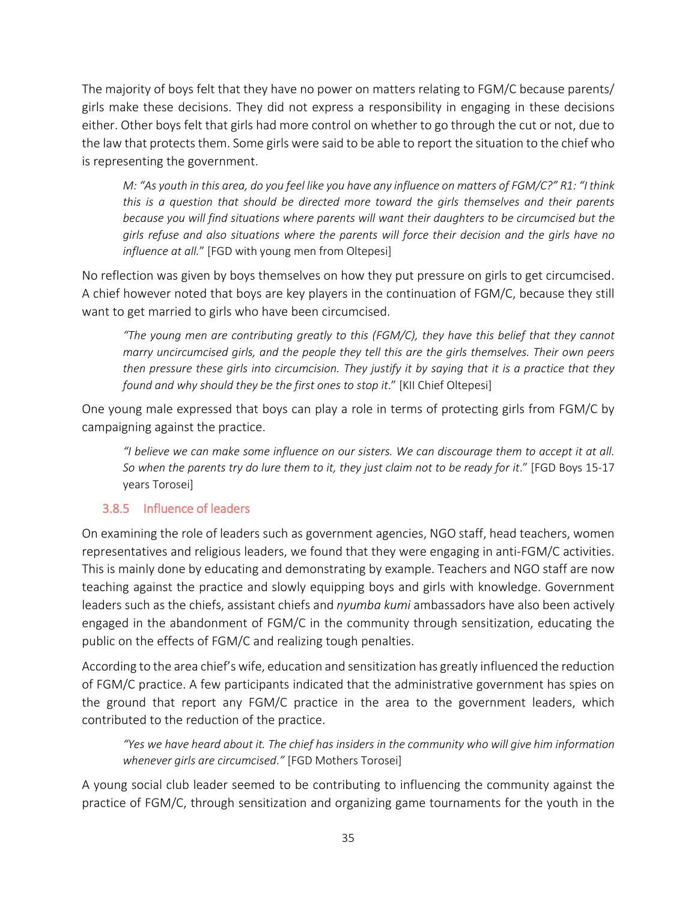The majority of boys felt that they have no power on matters relating to FGM/C because parents/ girls make these decisions. They did not express a responsibility in engaging in these decisions either. Other boys felt that girls had more control on whether to go through the cut or not, due to the law that protects them. Some girls were said to be able to report the situation to the chief who is representing the government.

*M: "As youth in this area, do you feel like you have any influence on matters of FGM/C?" R1: "I think this is a question that should be directed more toward the girls themselves and their parents because you will find situations where parents will want their daughters to be circumcised but the girls refuse and also situations where the parents will force their decision and the girls have no influence at all.*" [FGD with young men from Oltepesi]

No reflection was given by boys themselves on how they put pressure on girls to get circumcised. A chief however noted that boys are key players in the continuation of FGM/C, because they still want to get married to girls who have been circumcised.

*"The young men are contributing greatly to this (FGM/C), they have this belief that they cannot marry uncircumcised girls, and the people they tell this are the girls themselves. Their own peers then pressure these girls into circumcision. They justify it by saying that it is a practice that they found and why should they be the first ones to stop it*." [KII Chief Oltepesi]

One young male expressed that boys can play a role in terms of protecting girls from FGM/C by campaigning against the practice.

*"I believe we can make some influence on our sisters. We can discourage them to accept it at all. So when the parents try do lure them to it, they just claim not to be ready for it*." [FGD Boys 15-17 years Torosei]

#### <span id="page-34-0"></span>3.8.5 Influence of leaders

On examining the role of leaders such as government agencies, NGO staff, head teachers, women representatives and religious leaders, we found that they were engaging in anti-FGM/C activities. This is mainly done by educating and demonstrating by example. Teachers and NGO staff are now teaching against the practice and slowly equipping boys and girls with knowledge. Government leaders such as the chiefs, assistant chiefs and *nyumba kumi* ambassadors have also been actively engaged in the abandonment of FGM/C in the community through sensitization, educating the public on the effects of FGM/C and realizing tough penalties.

According to the area chief's wife, education and sensitization has greatly influenced the reduction of FGM/C practice. A few participants indicated that the administrative government has spies on the ground that report any FGM/C practice in the area to the government leaders, which contributed to the reduction of the practice.

*"Yes we have heard about it. The chief has insiders in the community who will give him information whenever girls are circumcised*.*"* [FGD Mothers Torosei]

A young social club leader seemed to be contributing to influencing the community against the practice of FGM/C, through sensitization and organizing game tournaments for the youth in the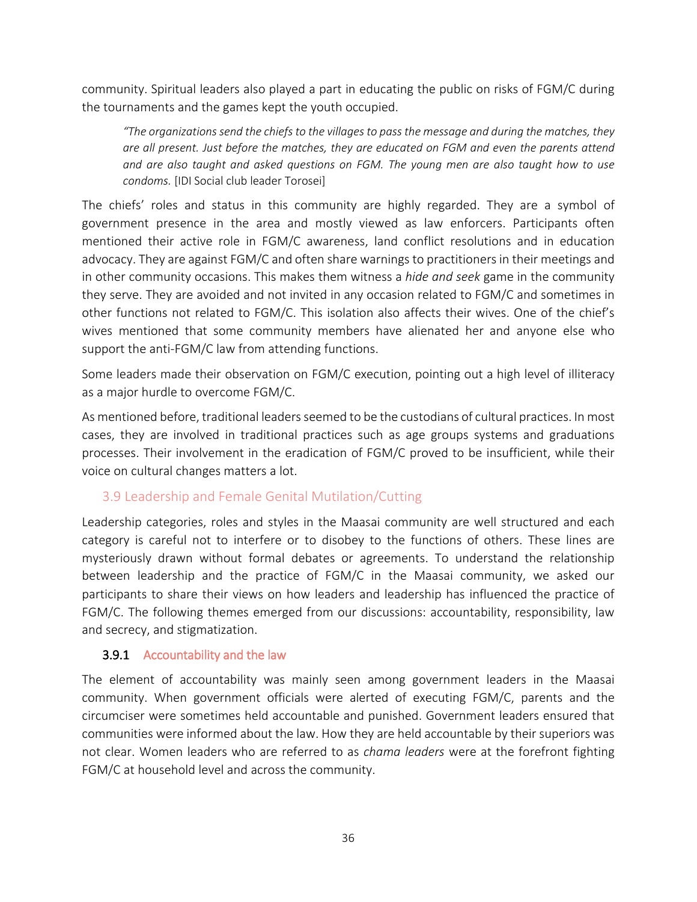community. Spiritual leaders also played a part in educating the public on risks of FGM/C during the tournaments and the games kept the youth occupied.

*"The organizations send the chiefs to the villages to pass the message and during the matches, they are all present. Just before the matches, they are educated on FGM and even the parents attend and are also taught and asked questions on FGM. The young men are also taught how to use condoms.* [IDI Social club leader Torosei]

The chiefs' roles and status in this community are highly regarded. They are a symbol of government presence in the area and mostly viewed as law enforcers. Participants often mentioned their active role in FGM/C awareness, land conflict resolutions and in education advocacy. They are against FGM/C and often share warnings to practitioners in their meetings and in other community occasions. This makes them witness a *hide and seek* game in the community they serve. They are avoided and not invited in any occasion related to FGM/C and sometimes in other functions not related to FGM/C. This isolation also affects their wives. One of the chief's wives mentioned that some community members have alienated her and anyone else who support the anti-FGM/C law from attending functions.

Some leaders made their observation on FGM/C execution, pointing out a high level of illiteracy as a major hurdle to overcome FGM/C.

As mentioned before, traditional leaders seemed to be the custodians of cultural practices. In most cases, they are involved in traditional practices such as age groups systems and graduations processes. Their involvement in the eradication of FGM/C proved to be insufficient, while their voice on cultural changes matters a lot.

#### <span id="page-35-0"></span>3.9 Leadership and Female Genital Mutilation/Cutting

Leadership categories, roles and styles in the Maasai community are well structured and each category is careful not to interfere or to disobey to the functions of others. These lines are mysteriously drawn without formal debates or agreements. To understand the relationship between leadership and the practice of FGM/C in the Maasai community, we asked our participants to share their views on how leaders and leadership has influenced the practice of FGM/C. The following themes emerged from our discussions: accountability, responsibility, law and secrecy, and stigmatization.

#### <span id="page-35-1"></span>3.9.1 Accountability and the law

The element of accountability was mainly seen among government leaders in the Maasai community. When government officials were alerted of executing FGM/C, parents and the circumciser were sometimes held accountable and punished. Government leaders ensured that communities were informed about the law. How they are held accountable by their superiors was not clear. Women leaders who are referred to as *chama leaders* were at the forefront fighting FGM/C at household level and across the community.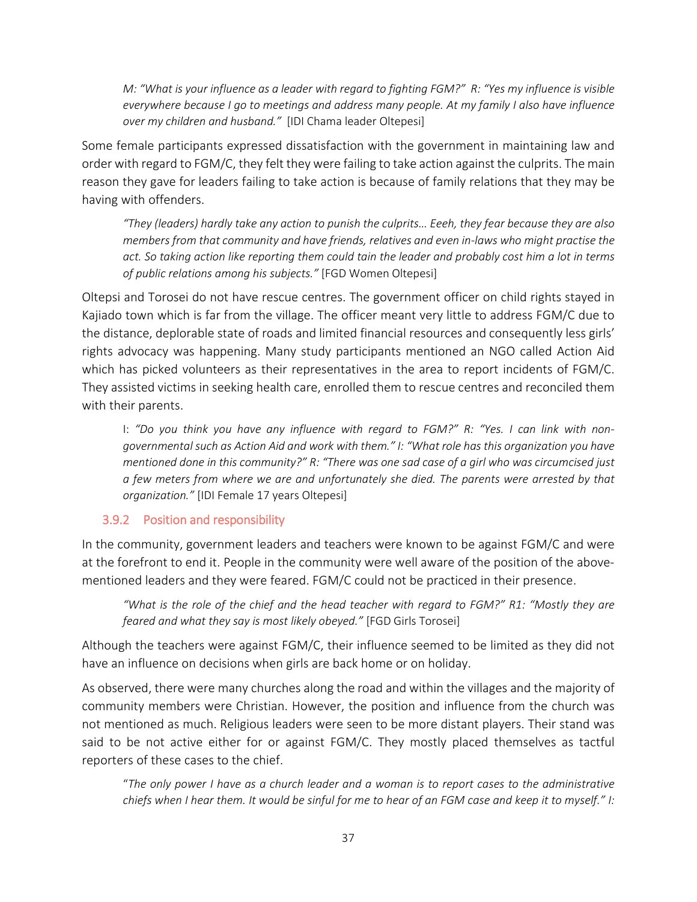*M: "What is your influence as a leader with regard to fighting FGM?" R: "Yes my influence is visible everywhere because I go to meetings and address many people. At my family I also have influence over my children and husband."* [IDI Chama leader Oltepesi]

Some female participants expressed dissatisfaction with the government in maintaining law and order with regard to FGM/C, they felt they were failing to take action against the culprits. The main reason they gave for leaders failing to take action is because of family relations that they may be having with offenders.

*"They (leaders) hardly take any action to punish the culprits… Eeeh, they fear because they are also members from that community and have friends, relatives and even in-laws who might practise the act. So taking action like reporting them could tain the leader and probably cost him a lot in terms of public relations among his subjects."* [FGD Women Oltepesi]

Oltepsi and Torosei do not have rescue centres. The government officer on child rights stayed in Kajiado town which is far from the village. The officer meant very little to address FGM/C due to the distance, deplorable state of roads and limited financial resources and consequently less girls' rights advocacy was happening. Many study participants mentioned an NGO called Action Aid which has picked volunteers as their representatives in the area to report incidents of FGM/C. They assisted victims in seeking health care, enrolled them to rescue centres and reconciled them with their parents.

I: *"Do you think you have any influence with regard to FGM?" R: "Yes. I can link with nongovernmental such as Action Aid and work with them." I: "What role has this organization you have mentioned done in this community?" R: "There was one sad case of a girl who was circumcised just a few meters from where we are and unfortunately she died. The parents were arrested by that organization."* [IDI Female 17 years Oltepesi]

#### <span id="page-36-0"></span>3.9.2 Position and responsibility

In the community, government leaders and teachers were known to be against FGM/C and were at the forefront to end it. People in the community were well aware of the position of the abovementioned leaders and they were feared. FGM/C could not be practiced in their presence.

*"What is the role of the chief and the head teacher with regard to FGM?" R1: "Mostly they are feared and what they say is most likely obeyed."* [FGD Girls Torosei]

Although the teachers were against FGM/C, their influence seemed to be limited as they did not have an influence on decisions when girls are back home or on holiday.

As observed, there were many churches along the road and within the villages and the majority of community members were Christian. However, the position and influence from the church was not mentioned as much. Religious leaders were seen to be more distant players. Their stand was said to be not active either for or against FGM/C. They mostly placed themselves as tactful reporters of these cases to the chief.

"*The only power I have as a church leader and a woman is to report cases to the administrative chiefs when I hear them. It would be sinful for me to hear of an FGM case and keep it to myself." I:*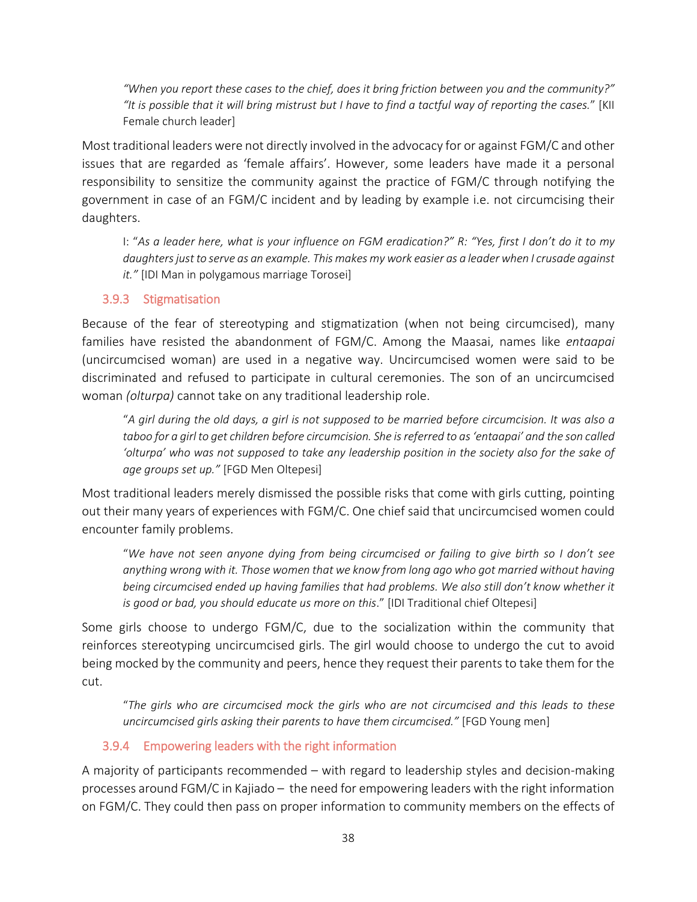*"When you report these cases to the chief, does it bring friction between you and the community?" "It is possible that it will bring mistrust but I have to find a tactful way of reporting the cases.*" [KII Female church leader]

Most traditional leaders were not directly involved in the advocacy for or against FGM/C and other issues that are regarded as 'female affairs'. However, some leaders have made it a personal responsibility to sensitize the community against the practice of FGM/C through notifying the government in case of an FGM/C incident and by leading by example i.e. not circumcising their daughters.

I: "*As a leader here, what is your influence on FGM eradication?" R: "Yes, first I don't do it to my daughters just to serve as an example. This makes my work easier as a leader when I crusade against it."* [IDI Man in polygamous marriage Torosei]

#### <span id="page-37-0"></span>3.9.3 Stigmatisation

Because of the fear of stereotyping and stigmatization (when not being circumcised), many families have resisted the abandonment of FGM/C. Among the Maasai, names like *entaapai* (uncircumcised woman) are used in a negative way. Uncircumcised women were said to be discriminated and refused to participate in cultural ceremonies. The son of an uncircumcised woman *(olturpa)* cannot take on any traditional leadership role.

"*A girl during the old days, a girl is not supposed to be married before circumcision. It was also a taboo for a girl to get children before circumcision. She is referred to as 'entaapai' and the son called 'olturpa' who was not supposed to take any leadership position in the society also for the sake of age groups set up."* [FGD Men Oltepesi]

Most traditional leaders merely dismissed the possible risks that come with girls cutting, pointing out their many years of experiences with FGM/C. One chief said that uncircumcised women could encounter family problems.

"*We have not seen anyone dying from being circumcised or failing to give birth so I don't see anything wrong with it. Those women that we know from long ago who got married without having being circumcised ended up having families that had problems. We also still don't know whether it is good or bad, you should educate us more on this*." [IDI Traditional chief Oltepesi]

Some girls choose to undergo FGM/C, due to the socialization within the community that reinforces stereotyping uncircumcised girls. The girl would choose to undergo the cut to avoid being mocked by the community and peers, hence they request their parents to take them for the cut.

"*The girls who are circumcised mock the girls who are not circumcised and this leads to these uncircumcised girls asking their parents to have them circumcised."* [FGD Young men]

#### <span id="page-37-1"></span>3.9.4 Empowering leaders with the right information

A majority of participants recommended – with regard to leadership styles and decision-making processes around FGM/C in Kajiado – the need for empowering leaders with the right information on FGM/C. They could then pass on proper information to community members on the effects of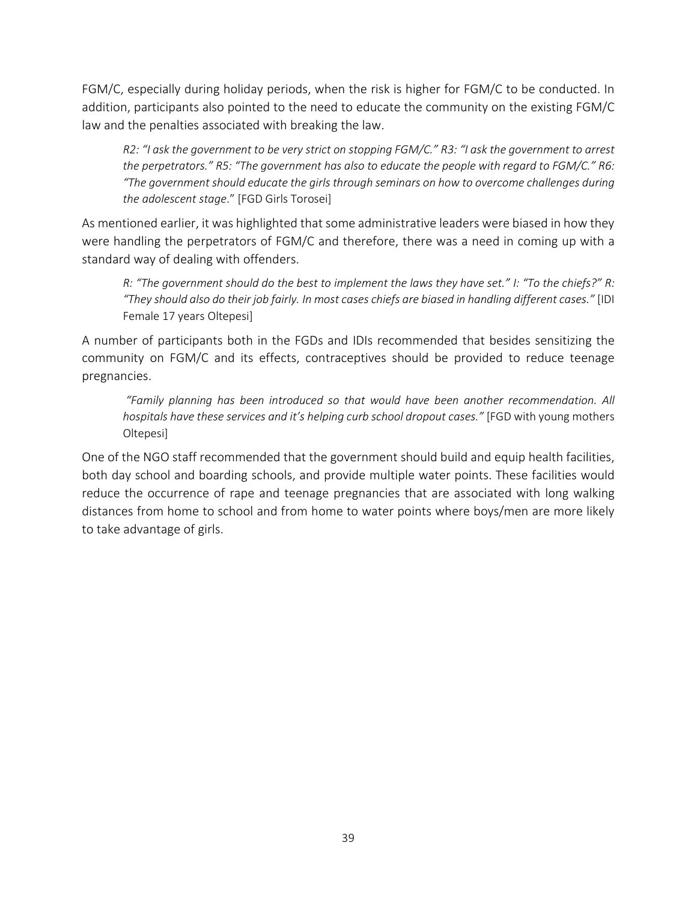FGM/C, especially during holiday periods, when the risk is higher for FGM/C to be conducted. In addition, participants also pointed to the need to educate the community on the existing FGM/C law and the penalties associated with breaking the law.

*R2: "I ask the government to be very strict on stopping FGM/C." R3: "I ask the government to arrest the perpetrators." R5: "The government has also to educate the people with regard to FGM/C." R6: "The government should educate the girls through seminars on how to overcome challenges during the adolescent stage*." [FGD Girls Torosei]

As mentioned earlier, it was highlighted that some administrative leaders were biased in how they were handling the perpetrators of FGM/C and therefore, there was a need in coming up with a standard way of dealing with offenders.

*R: "The government should do the best to implement the laws they have set." I: "To the chiefs?" R: "They should also do their job fairly. In most cases chiefs are biased in handling different cases."* [IDI Female 17 years Oltepesi]

A number of participants both in the FGDs and IDIs recommended that besides sensitizing the community on FGM/C and its effects, contraceptives should be provided to reduce teenage pregnancies.

*"Family planning has been introduced so that would have been another recommendation. All hospitals have these services and it's helping curb school dropout cases."* [FGD with young mothers Oltepesi]

One of the NGO staff recommended that the government should build and equip health facilities, both day school and boarding schools, and provide multiple water points. These facilities would reduce the occurrence of rape and teenage pregnancies that are associated with long walking distances from home to school and from home to water points where boys/men are more likely to take advantage of girls.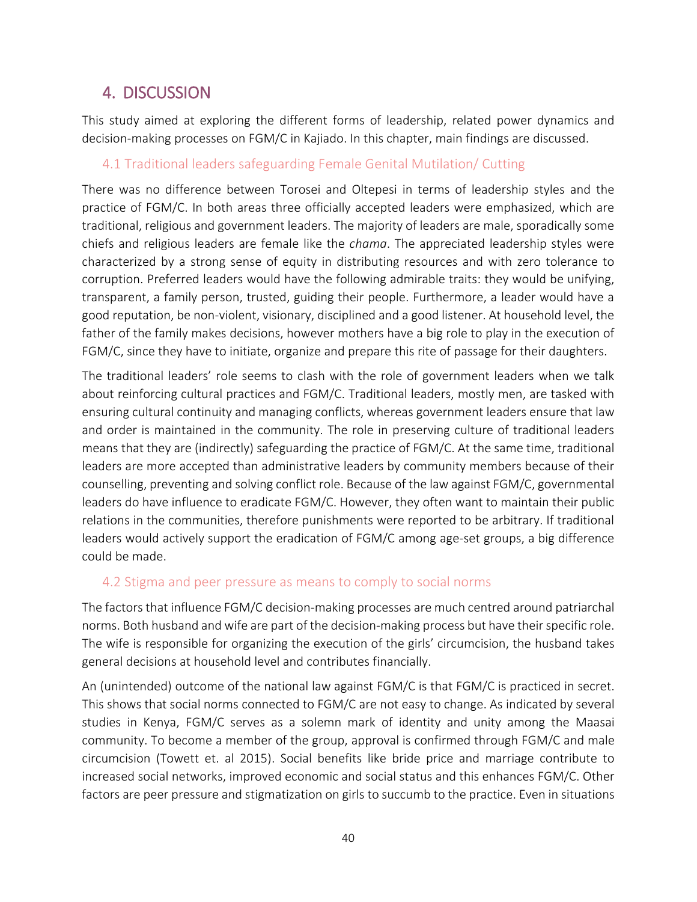## <span id="page-39-0"></span>4. DISCUSSION

This study aimed at exploring the different forms of leadership, related power dynamics and decision-making processes on FGM/C in Kajiado. In this chapter, main findings are discussed.

#### <span id="page-39-1"></span>4.1 Traditional leaders safeguarding Female Genital Mutilation/ Cutting

There was no difference between Torosei and Oltepesi in terms of leadership styles and the practice of FGM/C. In both areas three officially accepted leaders were emphasized, which are traditional, religious and government leaders. The majority of leaders are male, sporadically some chiefs and religious leaders are female like the *chama*. The appreciated leadership styles were characterized by a strong sense of equity in distributing resources and with zero tolerance to corruption. Preferred leaders would have the following admirable traits: they would be unifying, transparent, a family person, trusted, guiding their people. Furthermore, a leader would have a good reputation, be non-violent, visionary, disciplined and a good listener. At household level, the father of the family makes decisions, however mothers have a big role to play in the execution of FGM/C, since they have to initiate, organize and prepare this rite of passage for their daughters.

The traditional leaders' role seems to clash with the role of government leaders when we talk about reinforcing cultural practices and FGM/C. Traditional leaders, mostly men, are tasked with ensuring cultural continuity and managing conflicts, whereas government leaders ensure that law and order is maintained in the community. The role in preserving culture of traditional leaders means that they are (indirectly) safeguarding the practice of FGM/C. At the same time, traditional leaders are more accepted than administrative leaders by community members because of their counselling, preventing and solving conflict role. Because of the law against FGM/C, governmental leaders do have influence to eradicate FGM/C. However, they often want to maintain their public relations in the communities, therefore punishments were reported to be arbitrary. If traditional leaders would actively support the eradication of FGM/C among age-set groups, a big difference could be made.

#### <span id="page-39-2"></span>4.2 Stigma and peer pressure as means to comply to social norms

The factors that influence FGM/C decision-making processes are much centred around patriarchal norms. Both husband and wife are part of the decision-making process but have their specific role. The wife is responsible for organizing the execution of the girls' circumcision, the husband takes general decisions at household level and contributes financially.

An (unintended) outcome of the national law against FGM/C is that FGM/C is practiced in secret. This shows that social norms connected to FGM/C are not easy to change. As indicated by several studies in Kenya, FGM/C serves as a solemn mark of identity and unity among the Maasai community. To become a member of the group, approval is confirmed through FGM/C and male circumcision (Towett et. al 2015). Social benefits like bride price and marriage contribute to increased social networks, improved economic and social status and this enhances FGM/C. Other factors are peer pressure and stigmatization on girls to succumb to the practice. Even in situations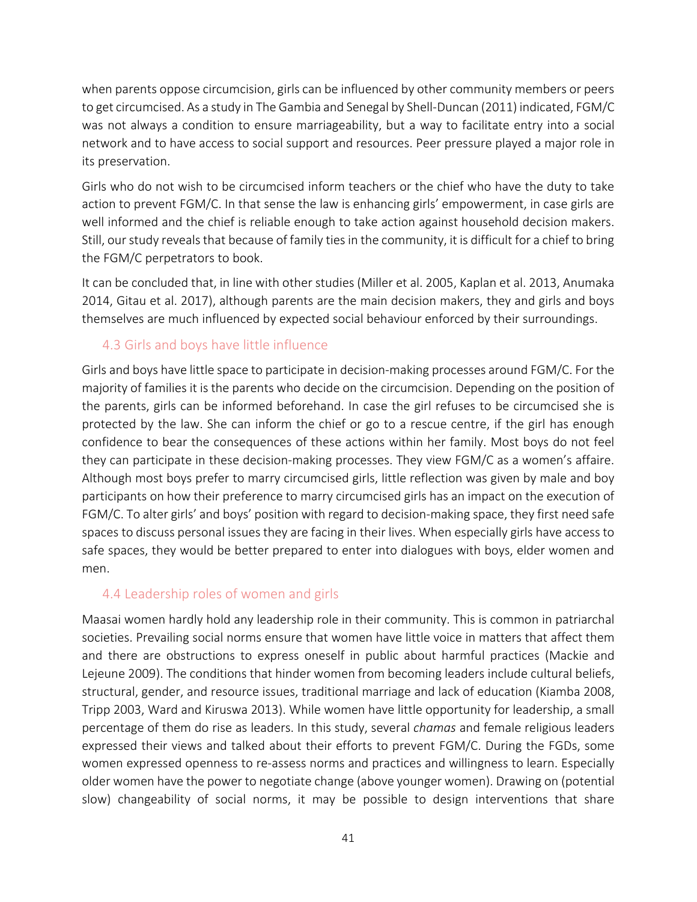when parents oppose circumcision, girls can be influenced by other community members or peers to get circumcised. As a study in The Gambia and Senegal by Shell-Duncan (2011) indicated, FGM/C was not always a condition to ensure marriageability, but a way to facilitate entry into a social network and to have access to social support and resources. Peer pressure played a major role in its preservation.

Girls who do not wish to be circumcised inform teachers or the chief who have the duty to take action to prevent FGM/C. In that sense the law is enhancing girls' empowerment, in case girls are well informed and the chief is reliable enough to take action against household decision makers. Still, our study reveals that because of family ties in the community, it is difficult for a chief to bring the FGM/C perpetrators to book.

It can be concluded that, in line with other studies (Miller et al. 2005, Kaplan et al. 2013, Anumaka 2014, Gitau et al. 2017), although parents are the main decision makers, they and girls and boys themselves are much influenced by expected social behaviour enforced by their surroundings.

#### <span id="page-40-0"></span>4.3 Girls and boys have little influence

Girls and boys have little space to participate in decision-making processes around FGM/C. For the majority of families it is the parents who decide on the circumcision. Depending on the position of the parents, girls can be informed beforehand. In case the girl refuses to be circumcised she is protected by the law. She can inform the chief or go to a rescue centre, if the girl has enough confidence to bear the consequences of these actions within her family. Most boys do not feel they can participate in these decision-making processes. They view FGM/C as a women's affaire. Although most boys prefer to marry circumcised girls, little reflection was given by male and boy participants on how their preference to marry circumcised girls has an impact on the execution of FGM/C. To alter girls' and boys' position with regard to decision-making space, they first need safe spaces to discuss personal issues they are facing in their lives. When especially girls have access to safe spaces, they would be better prepared to enter into dialogues with boys, elder women and men.

#### <span id="page-40-1"></span>4.4 Leadership roles of women and girls

Maasai women hardly hold any leadership role in their community. This is common in patriarchal societies. Prevailing social norms ensure that women have little voice in matters that affect them and there are obstructions to express oneself in public about harmful practices (Mackie and Lejeune 2009). The conditions that hinder women from becoming leaders include cultural beliefs, structural, gender, and resource issues, traditional marriage and lack of education (Kiamba 2008, Tripp 2003, Ward and Kiruswa 2013). While women have little opportunity for leadership, a small percentage of them do rise as leaders. In this study, several *chamas* and female religious leaders expressed their views and talked about their efforts to prevent FGM/C. During the FGDs, some women expressed openness to re-assess norms and practices and willingness to learn. Especially older women have the power to negotiate change (above younger women). Drawing on (potential slow) changeability of social norms, it may be possible to design interventions that share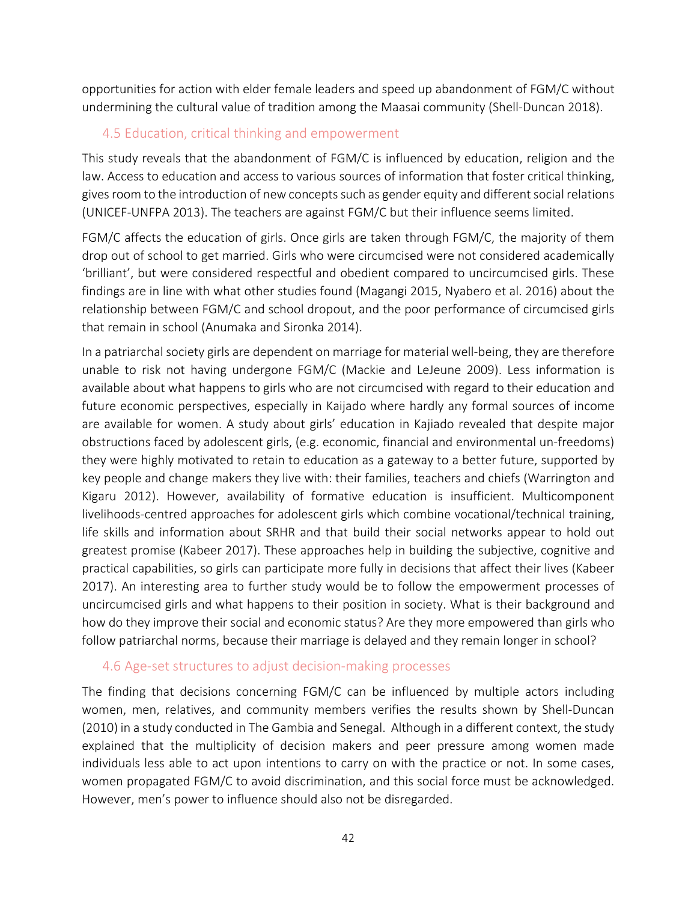opportunities for action with elder female leaders and speed up abandonment of FGM/C without undermining the cultural value of tradition among the Maasai community (Shell-Duncan 2018).

#### <span id="page-41-0"></span>4.5 Education, critical thinking and empowerment

This study reveals that the abandonment of FGM/C is influenced by education, religion and the law. Access to education and access to various sources of information that foster critical thinking, gives room to the introduction of newconceptssuch as gender equity and different social relations (UNICEF-UNFPA 2013). The teachers are against FGM/C but their influence seems limited.

FGM/C affects the education of girls. Once girls are taken through FGM/C, the majority of them drop out of school to get married. Girls who were circumcised were not considered academically 'brilliant', but were considered respectful and obedient compared to uncircumcised girls. These findings are in line with what other studies found (Magangi 2015, Nyabero et al. 2016) about the relationship between FGM/C and school dropout, and the poor performance of circumcised girls that remain in school (Anumaka and Sironka 2014).

In a patriarchal society girls are dependent on marriage for material well-being, they are therefore unable to risk not having undergone FGM/C (Mackie and LeJeune 2009). Less information is available about what happens to girls who are not circumcised with regard to their education and future economic perspectives, especially in Kaijado where hardly any formal sources of income are available for women. A study about girls' education in Kajiado revealed that despite major obstructions faced by adolescent girls, (e.g. economic, financial and environmental un-freedoms) they were highly motivated to retain to education as a gateway to a better future, supported by key people and change makers they live with: their families, teachers and chiefs (Warrington and Kigaru 2012). However, availability of formative education is insufficient. Multicomponent livelihoods-centred approaches for adolescent girls which combine vocational/technical training, life skills and information about SRHR and that build their social networks appear to hold out greatest promise (Kabeer 2017). These approaches help in building the subjective, cognitive and practical capabilities, so girls can participate more fully in decisions that affect their lives (Kabeer 2017). An interesting area to further study would be to follow the empowerment processes of uncircumcised girls and what happens to their position in society. What is their background and how do they improve their social and economic status? Are they more empowered than girls who follow patriarchal norms, because their marriage is delayed and they remain longer in school?

#### <span id="page-41-1"></span>4.6 Age-set structures to adjust decision-making processes

The finding that decisions concerning FGM/C can be influenced by multiple actors including women, men, relatives, and community members verifies the results shown by Shell-Duncan (2010) in a study conducted in The Gambia and Senegal. Although in a different context, the study explained that the multiplicity of decision makers and peer pressure among women made individuals less able to act upon intentions to carry on with the practice or not. In some cases, women propagated FGM/C to avoid discrimination, and this social force must be acknowledged. However, men's power to influence should also not be disregarded.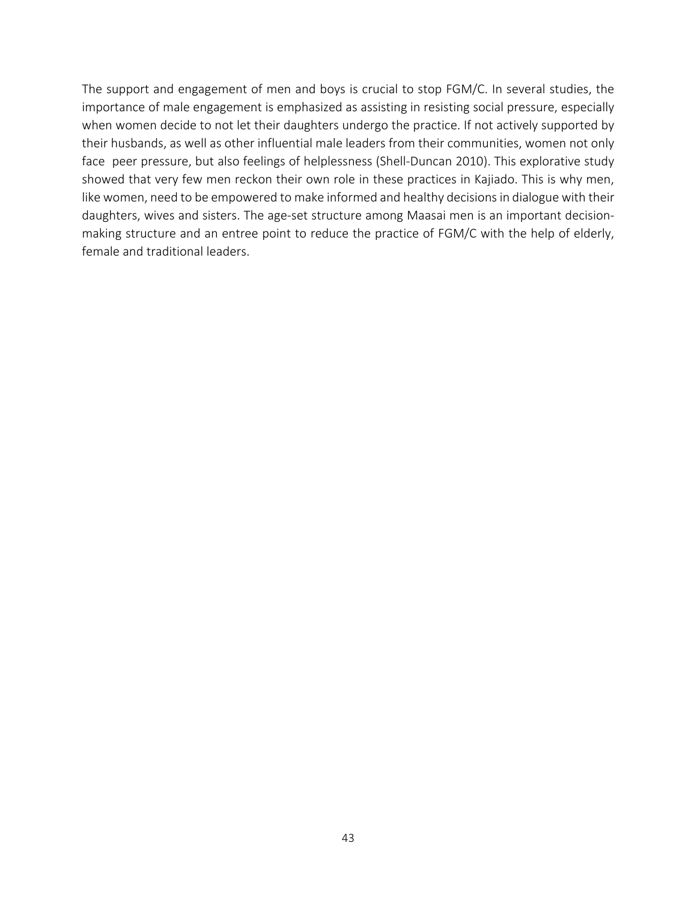The support and engagement of men and boys is crucial to stop FGM/C. In several studies, the importance of male engagement is emphasized as assisting in resisting social pressure, especially when women decide to not let their daughters undergo the practice. If not actively supported by their husbands, as well as other influential male leaders from their communities, women not only face peer pressure, but also feelings of helplessness (Shell-Duncan 2010). This explorative study showed that very few men reckon their own role in these practices in Kajiado. This is why men, like women, need to be empowered to make informed and healthy decisions in dialogue with their daughters, wives and sisters. The age-set structure among Maasai men is an important decisionmaking structure and an entree point to reduce the practice of FGM/C with the help of elderly, female and traditional leaders.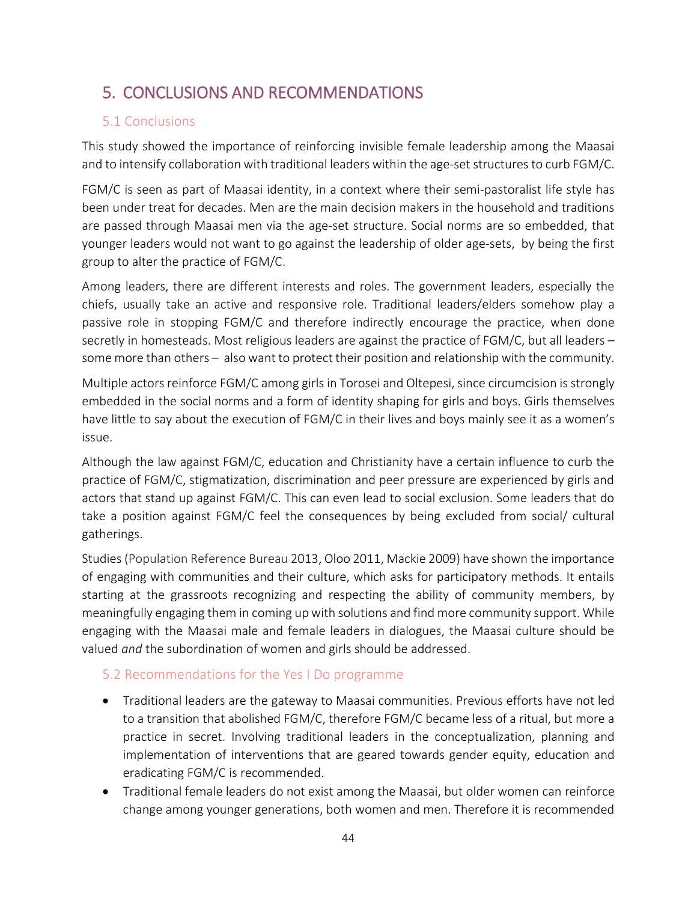## <span id="page-43-0"></span>5. CONCLUSIONS AND RECOMMENDATIONS

#### <span id="page-43-1"></span>5.1 Conclusions

This study showed the importance of reinforcing invisible female leadership among the Maasai and to intensify collaboration with traditional leaders within the age-set structures to curb FGM/C.

FGM/C is seen as part of Maasai identity, in a context where their semi-pastoralist life style has been under treat for decades. Men are the main decision makers in the household and traditions are passed through Maasai men via the age-set structure. Social norms are so embedded, that younger leaders would not want to go against the leadership of older age-sets, by being the first group to alter the practice of FGM/C.

Among leaders, there are different interests and roles. The government leaders, especially the chiefs, usually take an active and responsive role. Traditional leaders/elders somehow play a passive role in stopping FGM/C and therefore indirectly encourage the practice, when done secretly in homesteads. Most religious leaders are against the practice of FGM/C, but all leaders – some more than others – also want to protect their position and relationship with the community.

Multiple actors reinforce FGM/C among girls in Torosei and Oltepesi, since circumcision is strongly embedded in the social norms and a form of identity shaping for girls and boys. Girls themselves have little to say about the execution of FGM/C in their lives and boys mainly see it as a women's issue.

Although the law against FGM/C, education and Christianity have a certain influence to curb the practice of FGM/C, stigmatization, discrimination and peer pressure are experienced by girls and actors that stand up against FGM/C. This can even lead to social exclusion. Some leaders that do take a position against FGM/C feel the consequences by being excluded from social/ cultural gatherings.

Studies(Population Reference Bureau 2013, Oloo 2011, Mackie 2009) have shown the importance of engaging with communities and their culture, which asks for participatory methods. It entails starting at the grassroots recognizing and respecting the ability of community members, by meaningfully engaging them in coming up with solutions and find more community support. While engaging with the Maasai male and female leaders in dialogues, the Maasai culture should be valued *and* the subordination of women and girls should be addressed.

#### <span id="page-43-2"></span>5.2 Recommendations for the Yes I Do programme

- Traditional leaders are the gateway to Maasai communities. Previous efforts have not led to a transition that abolished FGM/C, therefore FGM/C became less of a ritual, but more a practice in secret. Involving traditional leaders in the conceptualization, planning and implementation of interventions that are geared towards gender equity, education and eradicating FGM/C is recommended.
- Traditional female leaders do not exist among the Maasai, but older women can reinforce change among younger generations, both women and men. Therefore it is recommended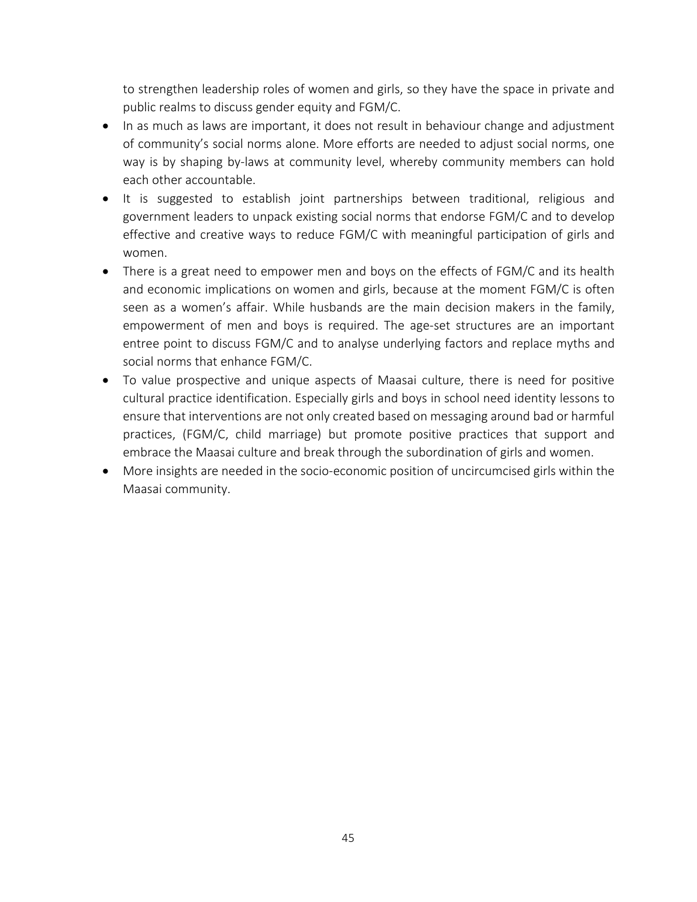to strengthen leadership roles of women and girls, so they have the space in private and public realms to discuss gender equity and FGM/C.

- In as much as laws are important, it does not result in behaviour change and adjustment of community's social norms alone. More efforts are needed to adjust social norms, one way is by shaping by-laws at community level, whereby community members can hold each other accountable.
- It is suggested to establish joint partnerships between traditional, religious and government leaders to unpack existing social norms that endorse FGM/C and to develop effective and creative ways to reduce FGM/C with meaningful participation of girls and women.
- There is a great need to empower men and boys on the effects of FGM/C and its health and economic implications on women and girls, because at the moment FGM/C is often seen as a women's affair. While husbands are the main decision makers in the family, empowerment of men and boys is required. The age-set structures are an important entree point to discuss FGM/C and to analyse underlying factors and replace myths and social norms that enhance FGM/C.
- To value prospective and unique aspects of Maasai culture, there is need for positive cultural practice identification. Especially girls and boys in school need identity lessons to ensure that interventions are not only created based on messaging around bad or harmful practices, (FGM/C, child marriage) but promote positive practices that support and embrace the Maasai culture and break through the subordination of girls and women.
- More insights are needed in the socio-economic position of uncircumcised girls within the Maasai community.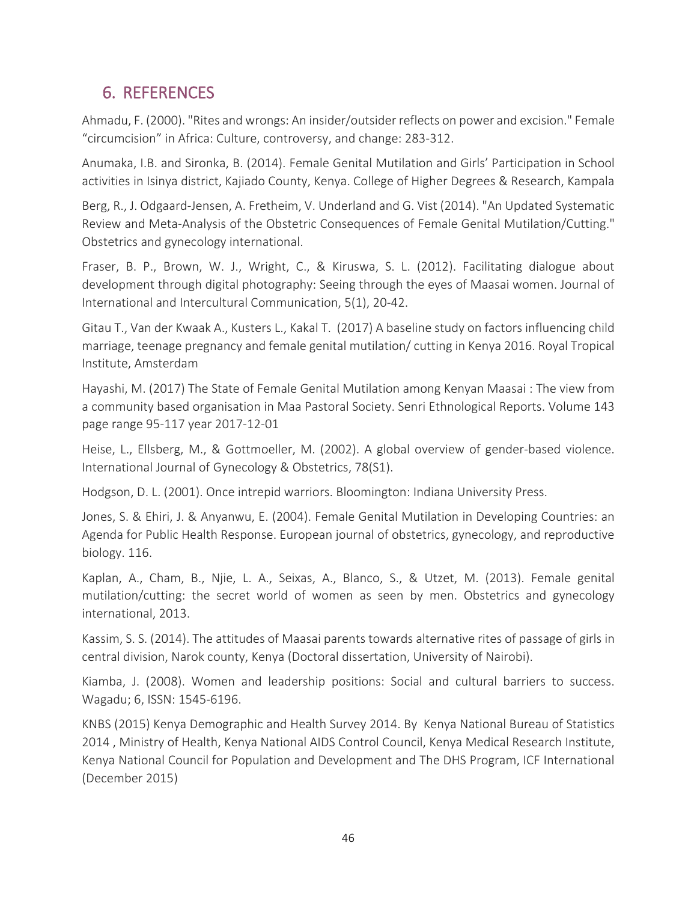## <span id="page-45-0"></span>6. REFERENCES

Ahmadu, F. (2000). "Rites and wrongs: An insider/outsider reflects on power and excision." Female "circumcision" in Africa: Culture, controversy, and change: 283-312.

Anumaka, I.B. and Sironka, B. (2014). Female Genital Mutilation and Girls' Participation in School activities in Isinya district, Kajiado County, Kenya. College of Higher Degrees & Research, Kampala

Berg, R., J. Odgaard-Jensen, A. Fretheim, V. Underland and G. Vist (2014). "An Updated Systematic Review and Meta-Analysis of the Obstetric Consequences of Female Genital Mutilation/Cutting." Obstetrics and gynecology international.

Fraser, B. P., Brown, W. J., Wright, C., & Kiruswa, S. L. (2012). Facilitating dialogue about development through digital photography: Seeing through the eyes of Maasai women. Journal of International and Intercultural Communication, 5(1), 20-42.

Gitau T., Van der Kwaak A., Kusters L., Kakal T. (2017) A baseline study on factors influencing child marriage, teenage pregnancy and female genital mutilation/ cutting in Kenya 2016. Royal Tropical Institute, Amsterdam

Hayashi, M. (2017) The State of Female Genital Mutilation among Kenyan Maasai : The view from a community based organisation in Maa Pastoral Society. Senri Ethnological Reports. Volume 143 page range 95-117 year 2017-12-01

Heise, L., Ellsberg, M., & Gottmoeller, M. (2002). A global overview of gender-based violence. International Journal of Gynecology & Obstetrics, 78(S1).

Hodgson, D. L. (2001). Once intrepid warriors. Bloomington: Indiana University Press.

Jones, S. & Ehiri, J. & Anyanwu, E. (2004). Female Genital Mutilation in Developing Countries: an Agenda for Public Health Response. European journal of obstetrics, gynecology, and reproductive biology. 116.

Kaplan, A., Cham, B., Njie, L. A., Seixas, A., Blanco, S., & Utzet, M. (2013). Female genital mutilation/cutting: the secret world of women as seen by men. Obstetrics and gynecology international, 2013.

Kassim, S. S. (2014). The attitudes of Maasai parents towards alternative rites of passage of girls in central division, Narok county, Kenya (Doctoral dissertation, University of Nairobi).

Kiamba, J. (2008). Women and leadership positions: Social and cultural barriers to success. Wagadu; 6, ISSN: 1545-6196.

KNBS (2015) Kenya Demographic and Health Survey 2014. By Kenya National Bureau of Statistics 2014 , Ministry of Health, Kenya National AIDS Control Council, Kenya Medical Research Institute, Kenya National Council for Population and Development and The DHS Program, ICF International (December 2015)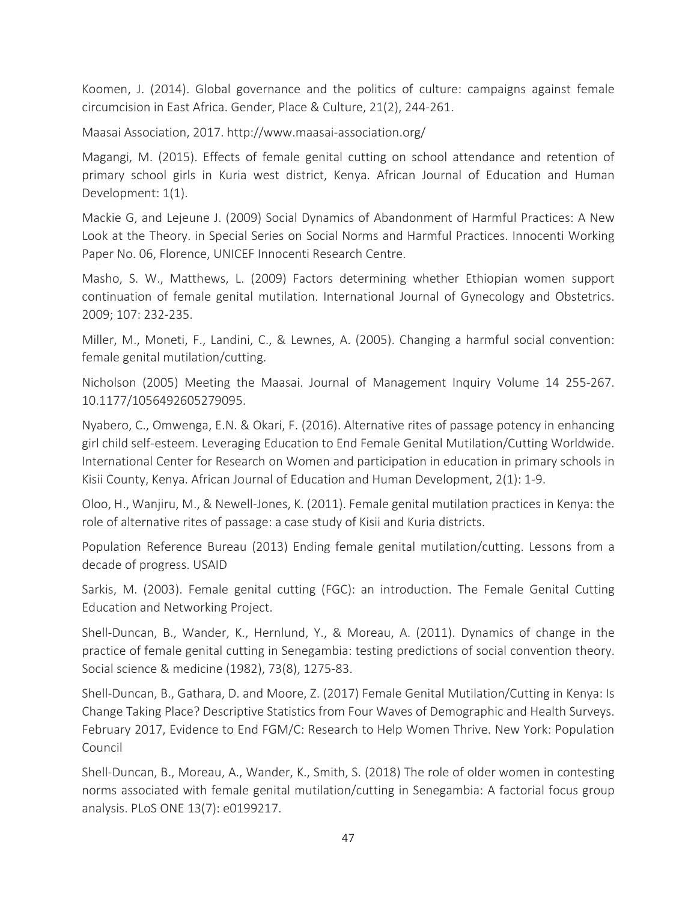Koomen, J. (2014). Global governance and the politics of culture: campaigns against female circumcision in East Africa. Gender, Place & Culture, 21(2), 244-261.

Maasai Association, 2017. <http://www.maasai-association.org/>

Magangi, M. (2015). Effects of female genital cutting on school attendance and retention of primary school girls in Kuria west district, Kenya. African Journal of Education and Human Development: 1(1).

Mackie G, and Lejeune J. (2009) Social Dynamics of Abandonment of Harmful Practices: A New Look at the Theory. in Special Series on Social Norms and Harmful Practices. Innocenti Working Paper No. 06, Florence, UNICEF Innocenti Research Centre.

Masho, S. W., Matthews, L. (2009) Factors determining whether Ethiopian women support continuation of female genital mutilation. International Journal of Gynecology and Obstetrics. 2009; 107: 232-235.

Miller, M., Moneti, F., Landini, C., & Lewnes, A. (2005). Changing a harmful social convention: female genital mutilation/cutting.

Nicholson (2005) Meeting the Maasai. Journal of Management Inquiry Volume 14 255-267. 10.1177/1056492605279095.

Nyabero, C., Omwenga, E.N. & Okari, F. (2016). Alternative rites of passage potency in enhancing girl child self-esteem. Leveraging Education to End Female Genital Mutilation/Cutting Worldwide. International Center for Research on Women and participation in education in primary schools in Kisii County, Kenya. African Journal of Education and Human Development, 2(1): 1-9.

Oloo, H., Wanjiru, M., & Newell-Jones, K. (2011). Female genital mutilation practices in Kenya: the role of alternative rites of passage: a case study of Kisii and Kuria districts.

Population Reference Bureau (2013) Ending female genital mutilation/cutting. Lessons from a decade of progress. USAID

Sarkis, M. (2003). Female genital cutting (FGC): an introduction. The Female Genital Cutting Education and Networking Project.

Shell-Duncan, B., Wander, K., Hernlund, Y., & Moreau, A. (2011). Dynamics of change in the practice of female genital cutting in Senegambia: testing predictions of social convention theory. Social science & medicine (1982), 73(8), 1275-83.

Shell-Duncan, B., Gathara, D. and Moore, Z. (2017) Female Genital Mutilation/Cutting in Kenya: Is Change Taking Place? Descriptive Statistics from Four Waves of Demographic and Health Surveys. February 2017, Evidence to End FGM/C: Research to Help Women Thrive. New York: Population Council

Shell-Duncan, B., Moreau, A., Wander, K., Smith, S. (2018) The role of older women in contesting norms associated with female genital mutilation/cutting in Senegambia: A factorial focus group analysis. PLoS ONE 13(7): e0199217.